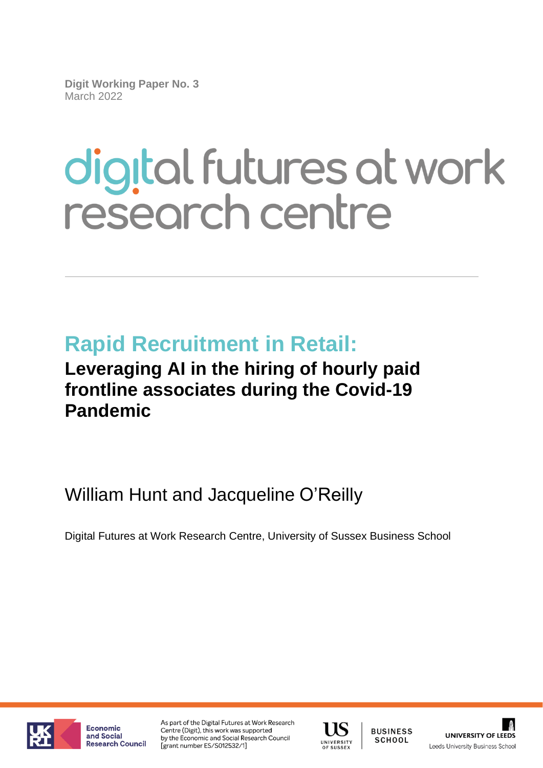**Digit Working Paper No. 3** March 2022

# digital futures at work research centre

# **Rapid Recruitment in Retail:**

# **Leveraging AI in the hiring of hourly paid frontline associates during the Covid-19 Pandemic**

William Hunt and Jacqueline O'Reilly

Digital Futures at Work Research Centre, University of Sussex Business School



Economic and Social Research Council As part of the Digital Futures at Work Research Centre (Digit), this work was supported by the Economic and Social Research Council [grant number ES/S012532/1]



**BUSINESS** SCHOOL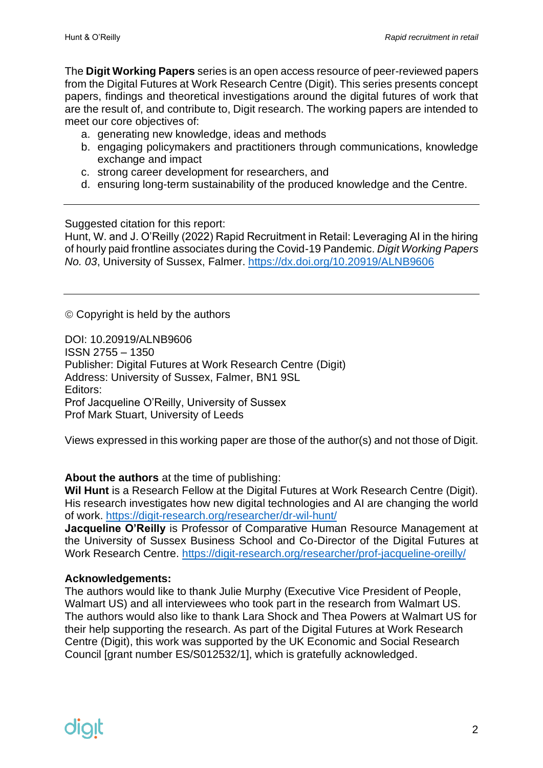The **Digit Working Papers** series is an open access resource of peer-reviewed papers from the Digital Futures at Work Research Centre (Digit). This series presents concept papers, findings and theoretical investigations around the digital futures of work that are the result of, and contribute to, Digit research. The working papers are intended to meet our core objectives of:

- a. generating new knowledge, ideas and methods
- b. engaging policymakers and practitioners through communications, knowledge exchange and impact
- c. strong career development for researchers, and
- d. ensuring long-term sustainability of the produced knowledge and the Centre.

Suggested citation for this report:

Hunt, W. and J. O'Reilly (2022) Rapid Recruitment in Retail: Leveraging AI in the hiring of hourly paid frontline associates during the Covid-19 Pandemic. *Digit Working Papers No. 03*, University of Sussex, Falmer. <https://dx.doi.org/10.20919/ALNB9606>

© Copyright is held by the authors

DOI: 10.20919/ALNB9606 ISSN 2755 – 1350 Publisher: Digital Futures at Work Research Centre (Digit) Address: University of Sussex, Falmer, BN1 9SL Editors: Prof Jacqueline O'Reilly, University of Sussex Prof Mark Stuart, University of Leeds

Views expressed in this working paper are those of the author(s) and not those of Digit.

**About the authors** at the time of publishing:

**Wil Hunt** is a Research Fellow at the Digital Futures at Work Research Centre (Digit). His research investigates how new digital technologies and AI are changing the world of work.<https://digit-research.org/researcher/dr-wil-hunt/>

**Jacqueline O'Reilly** is Professor of Comparative Human Resource Management at the University of Sussex Business School and Co-Director of the Digital Futures at Work Research Centre.<https://digit-research.org/researcher/prof-jacqueline-oreilly/>

#### **Acknowledgements:**

The authors would like to thank Julie Murphy (Executive Vice President of People, Walmart US) and all interviewees who took part in the research from Walmart US. The authors would also like to thank Lara Shock and Thea Powers at Walmart US for their help supporting the research. As part of the Digital Futures at Work Research Centre (Digit), this work was supported by the UK Economic and Social Research Council [grant number ES/S012532/1], which is gratefully acknowledged.

# diart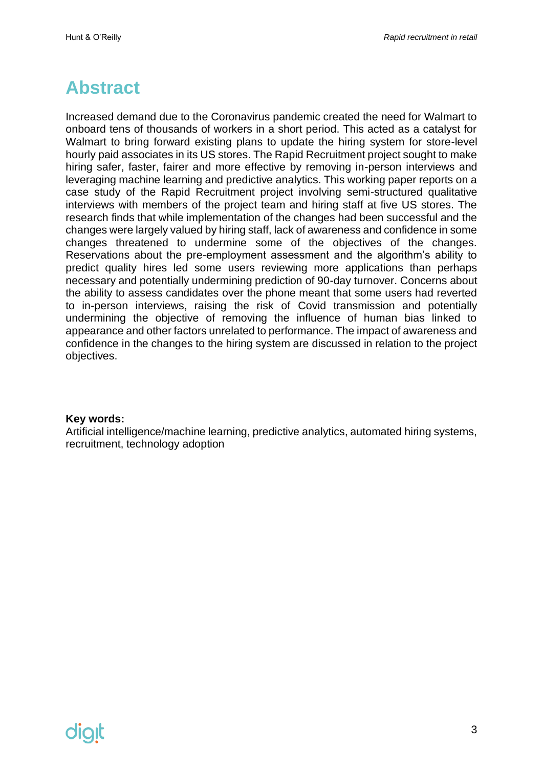### <span id="page-2-0"></span>**Abstract**

Increased demand due to the Coronavirus pandemic created the need for Walmart to onboard tens of thousands of workers in a short period. This acted as a catalyst for Walmart to bring forward existing plans to update the hiring system for store-level hourly paid associates in its US stores. The Rapid Recruitment project sought to make hiring safer, faster, fairer and more effective by removing in-person interviews and leveraging machine learning and predictive analytics. This working paper reports on a case study of the Rapid Recruitment project involving semi-structured qualitative interviews with members of the project team and hiring staff at five US stores. The research finds that while implementation of the changes had been successful and the changes were largely valued by hiring staff, lack of awareness and confidence in some changes threatened to undermine some of the objectives of the changes. Reservations about the pre-employment assessment and the algorithm's ability to predict quality hires led some users reviewing more applications than perhaps necessary and potentially undermining prediction of 90-day turnover. Concerns about the ability to assess candidates over the phone meant that some users had reverted to in-person interviews, raising the risk of Covid transmission and potentially undermining the objective of removing the influence of human bias linked to appearance and other factors unrelated to performance. The impact of awareness and confidence in the changes to the hiring system are discussed in relation to the project objectives.

#### **Key words:**

Artificial intelligence/machine learning, predictive analytics, automated hiring systems, recruitment, technology adoption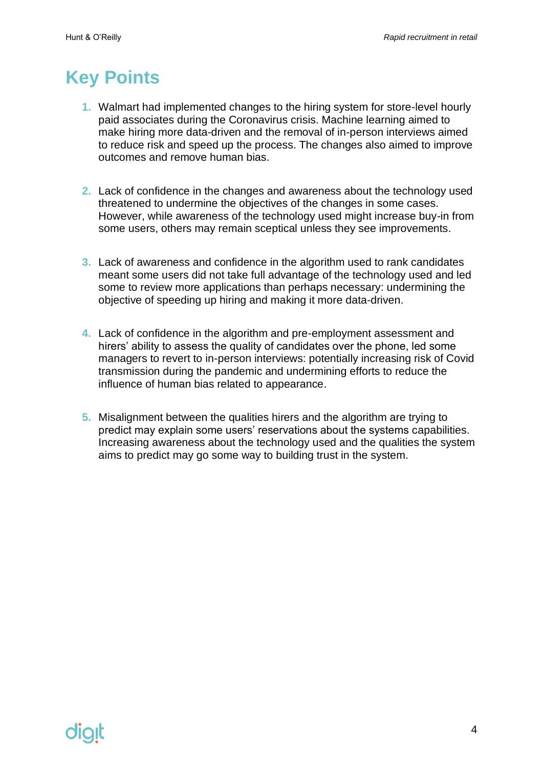# <span id="page-3-0"></span>**Key Points**

- **1.** Walmart had implemented changes to the hiring system for store-level hourly paid associates during the Coronavirus crisis. Machine learning aimed to make hiring more data-driven and the removal of in-person interviews aimed to reduce risk and speed up the process. The changes also aimed to improve outcomes and remove human bias.
- **2.** Lack of confidence in the changes and awareness about the technology used threatened to undermine the objectives of the changes in some cases. However, while awareness of the technology used might increase buy-in from some users, others may remain sceptical unless they see improvements.
- **3.** Lack of awareness and confidence in the algorithm used to rank candidates meant some users did not take full advantage of the technology used and led some to review more applications than perhaps necessary: undermining the objective of speeding up hiring and making it more data-driven.
- **4.** Lack of confidence in the algorithm and pre-employment assessment and hirers' ability to assess the quality of candidates over the phone, led some managers to revert to in-person interviews: potentially increasing risk of Covid transmission during the pandemic and undermining efforts to reduce the influence of human bias related to appearance.
- **5.** Misalignment between the qualities hirers and the algorithm are trying to predict may explain some users' reservations about the systems capabilities. Increasing awareness about the technology used and the qualities the system aims to predict may go some way to building trust in the system.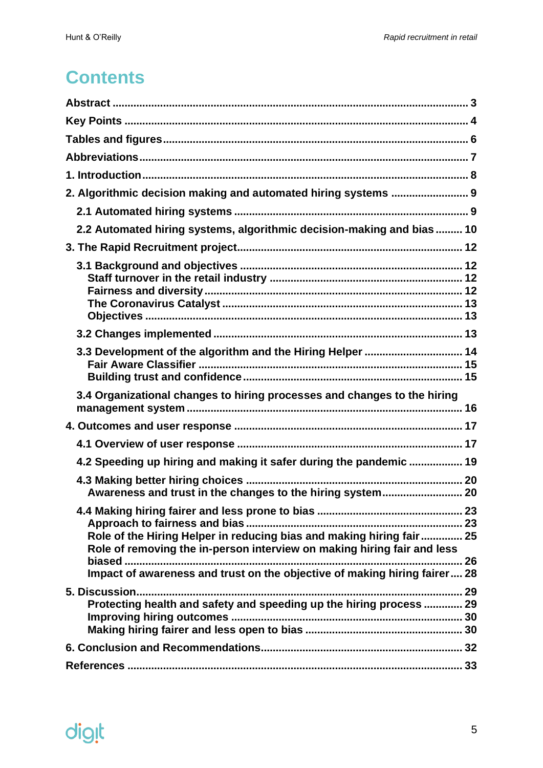# **Contents**

| 2. Algorithmic decision making and automated hiring systems  9                                                                                  |  |
|-------------------------------------------------------------------------------------------------------------------------------------------------|--|
|                                                                                                                                                 |  |
| 2.2 Automated hiring systems, algorithmic decision-making and bias  10                                                                          |  |
|                                                                                                                                                 |  |
|                                                                                                                                                 |  |
|                                                                                                                                                 |  |
| 3.3 Development of the algorithm and the Hiring Helper  14                                                                                      |  |
|                                                                                                                                                 |  |
| 3.4 Organizational changes to hiring processes and changes to the hiring                                                                        |  |
|                                                                                                                                                 |  |
|                                                                                                                                                 |  |
| 4.2 Speeding up hiring and making it safer during the pandemic  19                                                                              |  |
|                                                                                                                                                 |  |
| Awareness and trust in the changes to the hiring system 20                                                                                      |  |
|                                                                                                                                                 |  |
| Role of the Hiring Helper in reducing bias and making hiring fair 25<br>Role of removing the in-person interview on making hiring fair and less |  |
|                                                                                                                                                 |  |
| Impact of awareness and trust on the objective of making hiring fairer 28                                                                       |  |
| Protecting health and safety and speeding up the hiring process  29                                                                             |  |
|                                                                                                                                                 |  |
|                                                                                                                                                 |  |
|                                                                                                                                                 |  |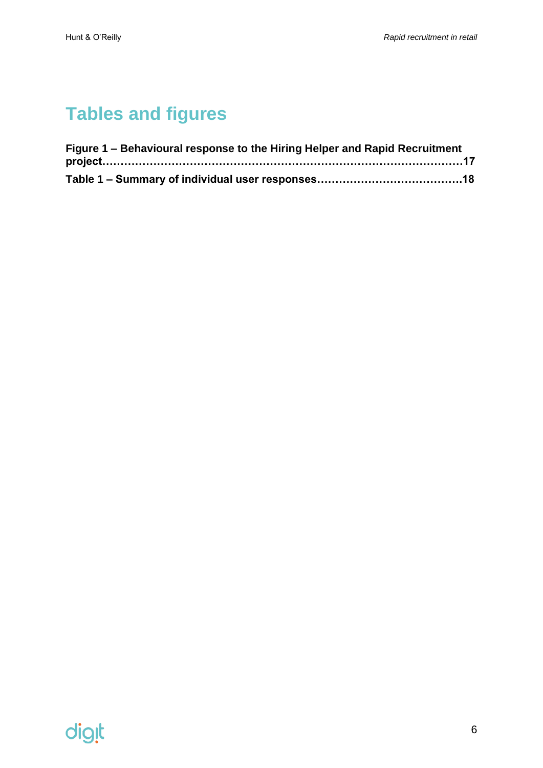# <span id="page-5-0"></span>**Tables and figures**

| Figure 1 – Behavioural response to the Hiring Helper and Rapid Recruitment |  |
|----------------------------------------------------------------------------|--|
|                                                                            |  |
|                                                                            |  |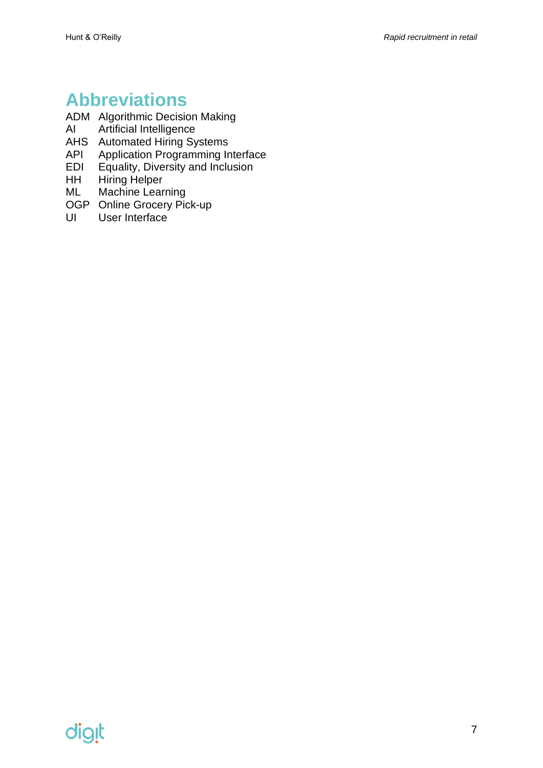# <span id="page-6-0"></span>**Abbreviations**

- ADM Algorithmic Decision Making<br>Al Artificial Intelligence
- Artificial Intelligence
- AHS Automated Hiring Systems
- API Application Programming Interface<br>EDI Equality, Diversity and Inclusion
- Equality, Diversity and Inclusion
- HH Hiring Helper
- ML Machine Learning
- OGP Online Grocery Pick-up<br>UI User Interface
- User Interface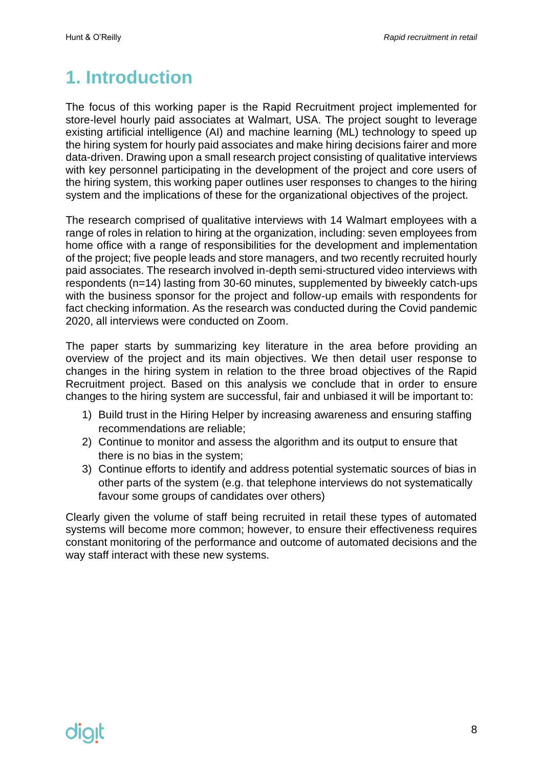# <span id="page-7-0"></span>**1. Introduction**

The focus of this working paper is the Rapid Recruitment project implemented for store-level hourly paid associates at Walmart, USA. The project sought to leverage existing artificial intelligence (AI) and machine learning (ML) technology to speed up the hiring system for hourly paid associates and make hiring decisions fairer and more data-driven. Drawing upon a small research project consisting of qualitative interviews with key personnel participating in the development of the project and core users of the hiring system, this working paper outlines user responses to changes to the hiring system and the implications of these for the organizational objectives of the project.

The research comprised of qualitative interviews with 14 Walmart employees with a range of roles in relation to hiring at the organization, including: seven employees from home office with a range of responsibilities for the development and implementation of the project; five people leads and store managers, and two recently recruited hourly paid associates. The research involved in-depth semi-structured video interviews with respondents (n=14) lasting from 30-60 minutes, supplemented by biweekly catch-ups with the business sponsor for the project and follow-up emails with respondents for fact checking information. As the research was conducted during the Covid pandemic 2020, all interviews were conducted on Zoom.

The paper starts by summarizing key literature in the area before providing an overview of the project and its main objectives. We then detail user response to changes in the hiring system in relation to the three broad objectives of the Rapid Recruitment project. Based on this analysis we conclude that in order to ensure changes to the hiring system are successful, fair and unbiased it will be important to:

- 1) Build trust in the Hiring Helper by increasing awareness and ensuring staffing recommendations are reliable;
- 2) Continue to monitor and assess the algorithm and its output to ensure that there is no bias in the system;
- 3) Continue efforts to identify and address potential systematic sources of bias in other parts of the system (e.g. that telephone interviews do not systematically favour some groups of candidates over others)

Clearly given the volume of staff being recruited in retail these types of automated systems will become more common; however, to ensure their effectiveness requires constant monitoring of the performance and outcome of automated decisions and the way staff interact with these new systems.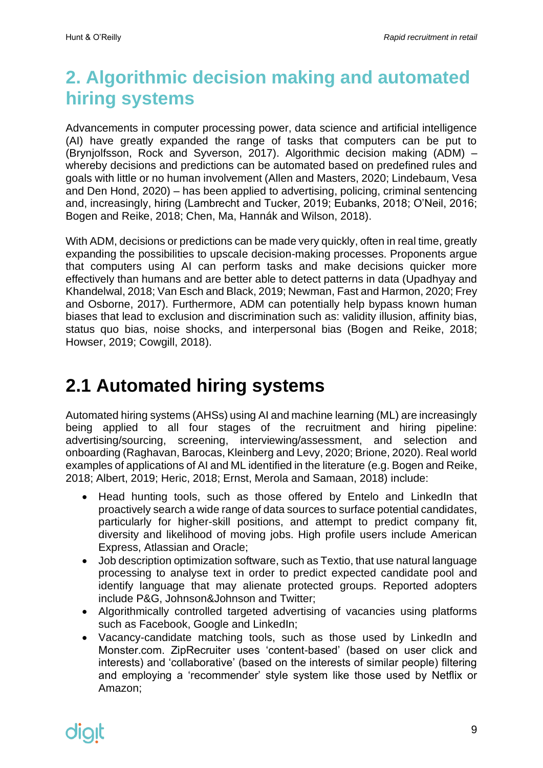# <span id="page-8-0"></span>**2. Algorithmic decision making and automated hiring systems**

Advancements in computer processing power, data science and artificial intelligence (AI) have greatly expanded the range of tasks that computers can be put to (Brynjolfsson, Rock and Syverson, 2017). Algorithmic decision making (ADM) – whereby decisions and predictions can be automated based on predefined rules and goals with little or no human involvement (Allen and Masters, 2020; Lindebaum, Vesa and Den Hond, 2020) – has been applied to advertising, policing, criminal sentencing and, increasingly, hiring (Lambrecht and Tucker, 2019; Eubanks, 2018; O'Neil, 2016; Bogen and Reike, 2018; Chen, Ma, Hannák and Wilson, 2018).

With ADM, decisions or predictions can be made very quickly, often in real time, greatly expanding the possibilities to upscale decision-making processes. Proponents argue that computers using AI can perform tasks and make decisions quicker more effectively than humans and are better able to detect patterns in data (Upadhyay and Khandelwal, 2018; Van Esch and Black, 2019; Newman, Fast and Harmon, 2020; Frey and Osborne, 2017). Furthermore, ADM can potentially help bypass known human biases that lead to exclusion and discrimination such as: validity illusion, affinity bias, status quo bias, noise shocks, and interpersonal bias (Bogen and Reike, 2018; Howser, 2019; Cowgill, 2018).

# <span id="page-8-1"></span>**2.1 Automated hiring systems**

Automated hiring systems (AHSs) using AI and machine learning (ML) are increasingly being applied to all four stages of the recruitment and hiring pipeline: advertising/sourcing, screening, interviewing/assessment, and selection and onboarding (Raghavan, Barocas, Kleinberg and Levy, 2020; Brione, 2020). Real world examples of applications of AI and ML identified in the literature (e.g. Bogen and Reike, 2018; Albert, 2019; Heric, 2018; Ernst, Merola and Samaan, 2018) include:

- Head hunting tools, such as those offered by Entelo and LinkedIn that proactively search a wide range of data sources to surface potential candidates, particularly for higher-skill positions, and attempt to predict company fit, diversity and likelihood of moving jobs. High profile users include American Express, Atlassian and Oracle;
- Job description optimization software, such as Textio, that use natural language processing to analyse text in order to predict expected candidate pool and identify language that may alienate protected groups. Reported adopters include P&G, Johnson&Johnson and Twitter;
- Algorithmically controlled targeted advertising of vacancies using platforms such as Facebook, Google and LinkedIn;
- Vacancy-candidate matching tools, such as those used by LinkedIn and Monster.com. ZipRecruiter uses 'content-based' (based on user click and interests) and 'collaborative' (based on the interests of similar people) filtering and employing a 'recommender' style system like those used by Netflix or Amazon;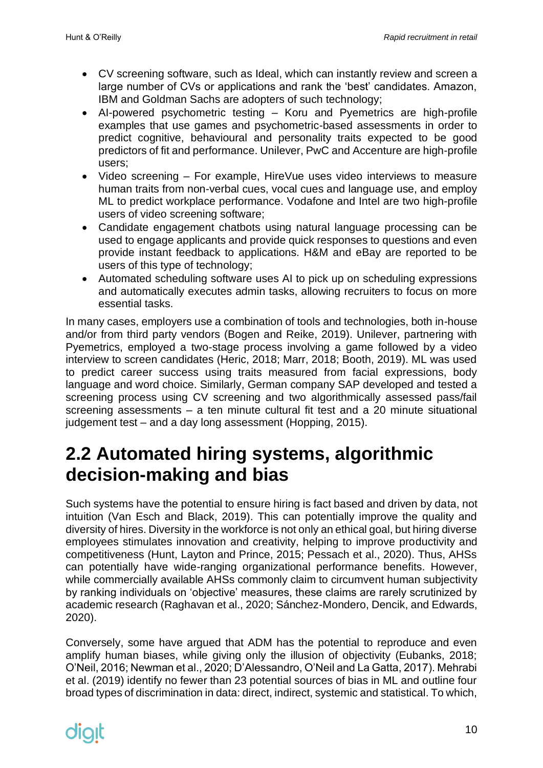- CV screening software, such as Ideal, which can instantly review and screen a large number of CVs or applications and rank the 'best' candidates. Amazon, IBM and Goldman Sachs are adopters of such technology;
- AI-powered psychometric testing Koru and Pyemetrics are high-profile examples that use games and psychometric-based assessments in order to predict cognitive, behavioural and personality traits expected to be good predictors of fit and performance. Unilever, PwC and Accenture are high-profile users;
- Video screening For example, HireVue uses video interviews to measure human traits from non-verbal cues, vocal cues and language use, and employ ML to predict workplace performance. Vodafone and Intel are two high-profile users of video screening software;
- Candidate engagement chatbots using natural language processing can be used to engage applicants and provide quick responses to questions and even provide instant feedback to applications. H&M and eBay are reported to be users of this type of technology;
- Automated scheduling software uses AI to pick up on scheduling expressions and automatically executes admin tasks, allowing recruiters to focus on more essential tasks.

In many cases, employers use a combination of tools and technologies, both in-house and/or from third party vendors (Bogen and Reike, 2019). Unilever, partnering with Pyemetrics, employed a two-stage process involving a game followed by a video interview to screen candidates (Heric, 2018; Marr, 2018; Booth, 2019). ML was used to predict career success using traits measured from facial expressions, body language and word choice. Similarly, German company SAP developed and tested a screening process using CV screening and two algorithmically assessed pass/fail screening assessments – a ten minute cultural fit test and a 20 minute situational judgement test – and a day long assessment (Hopping, 2015).

### <span id="page-9-0"></span>**2.2 Automated hiring systems, algorithmic decision-making and bias**

Such systems have the potential to ensure hiring is fact based and driven by data, not intuition (Van Esch and Black, 2019). This can potentially improve the quality and diversity of hires. Diversity in the workforce is not only an ethical goal, but hiring diverse employees stimulates innovation and creativity, helping to improve productivity and competitiveness (Hunt, Layton and Prince, 2015; Pessach et al., 2020). Thus, AHSs can potentially have wide-ranging organizational performance benefits. However, while commercially available AHSs commonly claim to circumvent human subjectivity by ranking individuals on 'objective' measures, these claims are rarely scrutinized by academic research (Raghavan et al., 2020; Sánchez-Mondero, Dencik, and Edwards, 2020).

Conversely, some have argued that ADM has the potential to reproduce and even amplify human biases, while giving only the illusion of objectivity (Eubanks, 2018; O'Neil, 2016; Newman et al., 2020; D'Alessandro, O'Neil and La Gatta, 2017). Mehrabi et al. (2019) identify no fewer than 23 potential sources of bias in ML and outline four broad types of discrimination in data: direct, indirect, systemic and statistical. To which,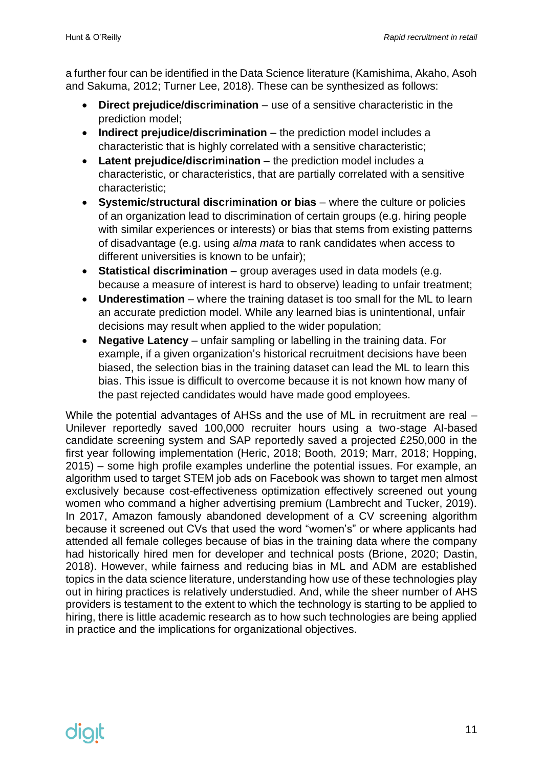a further four can be identified in the Data Science literature (Kamishima, Akaho, Asoh and Sakuma, 2012; Turner Lee, 2018). These can be synthesized as follows:

- **Direct prejudice/discrimination** use of a sensitive characteristic in the prediction model;
- **Indirect prejudice/discrimination** the prediction model includes a characteristic that is highly correlated with a sensitive characteristic;
- **Latent prejudice/discrimination** the prediction model includes a characteristic, or characteristics, that are partially correlated with a sensitive characteristic;
- **Systemic/structural discrimination or bias** where the culture or policies of an organization lead to discrimination of certain groups (e.g. hiring people with similar experiences or interests) or bias that stems from existing patterns of disadvantage (e.g. using *alma mata* to rank candidates when access to different universities is known to be unfair);
- **Statistical discrimination** group averages used in data models (e.g. because a measure of interest is hard to observe) leading to unfair treatment;
- **Underestimation** where the training dataset is too small for the ML to learn an accurate prediction model. While any learned bias is unintentional, unfair decisions may result when applied to the wider population;
- **Negative Latency** unfair sampling or labelling in the training data. For example, if a given organization's historical recruitment decisions have been biased, the selection bias in the training dataset can lead the ML to learn this bias. This issue is difficult to overcome because it is not known how many of the past rejected candidates would have made good employees.

While the potential advantages of AHSs and the use of ML in recruitment are real – Unilever reportedly saved 100,000 recruiter hours using a two-stage AI-based candidate screening system and SAP reportedly saved a projected £250,000 in the first year following implementation (Heric, 2018; Booth, 2019; Marr, 2018; Hopping, 2015) – some high profile examples underline the potential issues. For example, an algorithm used to target STEM job ads on Facebook was shown to target men almost exclusively because cost-effectiveness optimization effectively screened out young women who command a higher advertising premium (Lambrecht and Tucker, 2019). In 2017, Amazon famously abandoned development of a CV screening algorithm because it screened out CVs that used the word "women's" or where applicants had attended all female colleges because of bias in the training data where the company had historically hired men for developer and technical posts (Brione, 2020; Dastin, 2018). However, while fairness and reducing bias in ML and ADM are established topics in the data science literature, understanding how use of these technologies play out in hiring practices is relatively understudied. And, while the sheer number of AHS providers is testament to the extent to which the technology is starting to be applied to hiring, there is little academic research as to how such technologies are being applied in practice and the implications for organizational objectives.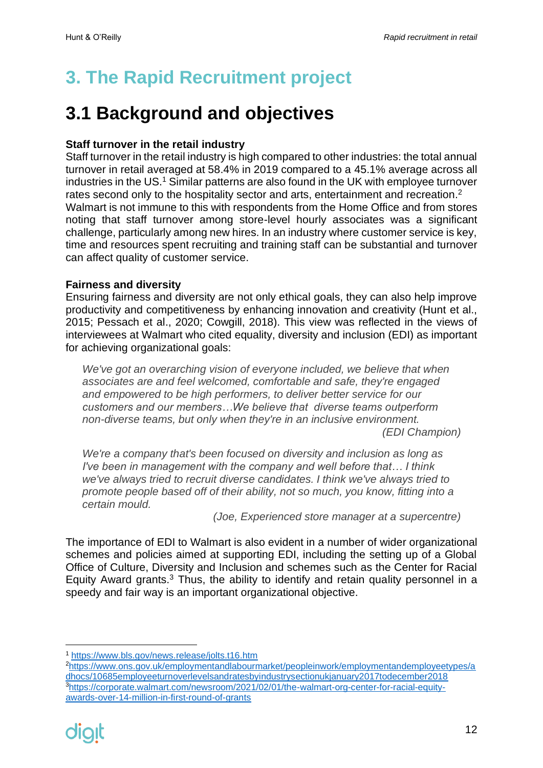# <span id="page-11-0"></span>**3. The Rapid Recruitment project**

# <span id="page-11-1"></span>**3.1 Background and objectives**

#### <span id="page-11-2"></span>**Staff turnover in the retail industry**

Staff turnover in the retail industry is high compared to other industries: the total annual turnover in retail averaged at 58.4% in 2019 compared to a 45.1% average across all industries in the US.<sup>1</sup> Similar patterns are also found in the UK with employee turnover rates second only to the hospitality sector and arts, entertainment and recreation.<sup>2</sup> Walmart is not immune to this with respondents from the Home Office and from stores noting that staff turnover among store-level hourly associates was a significant challenge, particularly among new hires. In an industry where customer service is key, time and resources spent recruiting and training staff can be substantial and turnover can affect quality of customer service.

#### <span id="page-11-3"></span>**Fairness and diversity**

Ensuring fairness and diversity are not only ethical goals, they can also help improve productivity and competitiveness by enhancing innovation and creativity (Hunt et al., 2015; Pessach et al., 2020; Cowgill, 2018). This view was reflected in the views of interviewees at Walmart who cited equality, diversity and inclusion (EDI) as important for achieving organizational goals:

*We've got an overarching vision of everyone included, we believe that when associates are and feel welcomed, comfortable and safe, they're engaged and empowered to be high performers, to deliver better service for our customers and our members…We believe that diverse teams outperform non-diverse teams, but only when they're in an inclusive environment. (EDI Champion)*

*We're a company that's been focused on diversity and inclusion as long as I've been in management with the company and well before that… I think we've always tried to recruit diverse candidates. I think we've always tried to promote people based off of their ability, not so much, you know, fitting into a certain mould.*

*(Joe, Experienced store manager at a supercentre)* 

The importance of EDI to Walmart is also evident in a number of wider organizational schemes and policies aimed at supporting EDI, including the setting up of a Global Office of Culture, Diversity and Inclusion and schemes such as the Center for Racial Equity Award grants. $3$  Thus, the ability to identify and retain quality personnel in a speedy and fair way is an important organizational objective.

<sup>1</sup> <https://www.bls.gov/news.release/jolts.t16.htm>

<sup>2</sup>[https://www.ons.gov.uk/employmentandlabourmarket/peopleinwork/employmentandemployeetypes/a](https://www.ons.gov.uk/employmentandlabourmarket/peopleinwork/employmentandemployeetypes/adhocs/10685employeeturnoverlevelsandratesbyindustrysectionukjanuary2017todecember2018) [dhocs/10685employeeturnoverlevelsandratesbyindustrysectionukjanuary2017todecember2018](https://www.ons.gov.uk/employmentandlabourmarket/peopleinwork/employmentandemployeetypes/adhocs/10685employeeturnoverlevelsandratesbyindustrysectionukjanuary2017todecember2018) 3[https://corporate.walmart.com/newsroom/2021/02/01/the-walmart-org-center-for-racial-equity](https://corporate.walmart.com/newsroom/2021/02/01/the-walmart-org-center-for-racial-equity-awards-over-14-million-in-first-round-of-grants)[awards-over-14-million-in-first-round-of-grants](https://corporate.walmart.com/newsroom/2021/02/01/the-walmart-org-center-for-racial-equity-awards-over-14-million-in-first-round-of-grants)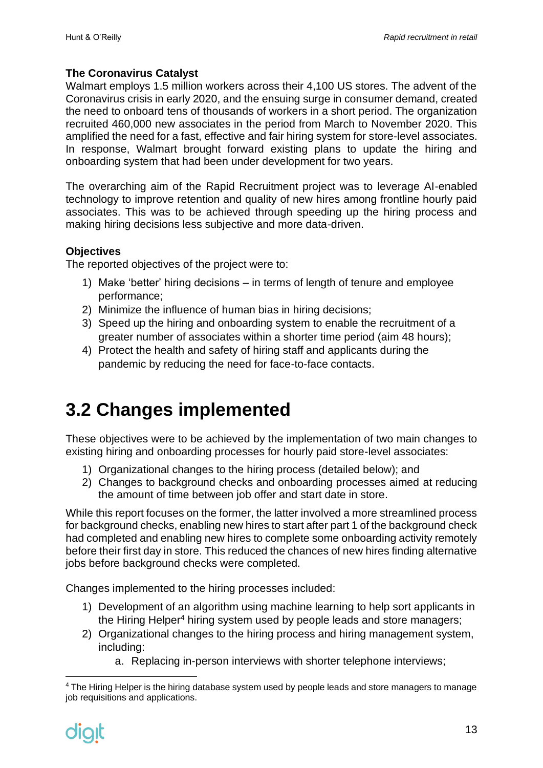#### <span id="page-12-0"></span>**The Coronavirus Catalyst**

Walmart employs 1.5 million workers across their 4,100 US stores. The advent of the Coronavirus crisis in early 2020, and the ensuing surge in consumer demand, created the need to onboard tens of thousands of workers in a short period. The organization recruited 460,000 new associates in the period from March to November 2020. This amplified the need for a fast, effective and fair hiring system for store-level associates. In response, Walmart brought forward existing plans to update the hiring and onboarding system that had been under development for two years.

The overarching aim of the Rapid Recruitment project was to leverage AI-enabled technology to improve retention and quality of new hires among frontline hourly paid associates. This was to be achieved through speeding up the hiring process and making hiring decisions less subjective and more data-driven.

#### <span id="page-12-1"></span>**Objectives**

The reported objectives of the project were to:

- 1) Make 'better' hiring decisions in terms of length of tenure and employee performance;
- 2) Minimize the influence of human bias in hiring decisions;
- 3) Speed up the hiring and onboarding system to enable the recruitment of a greater number of associates within a shorter time period (aim 48 hours);
- 4) Protect the health and safety of hiring staff and applicants during the pandemic by reducing the need for face-to-face contacts.

# <span id="page-12-2"></span>**3.2 Changes implemented**

These objectives were to be achieved by the implementation of two main changes to existing hiring and onboarding processes for hourly paid store-level associates:

- 1) Organizational changes to the hiring process (detailed below); and
- 2) Changes to background checks and onboarding processes aimed at reducing the amount of time between job offer and start date in store.

While this report focuses on the former, the latter involved a more streamlined process for background checks, enabling new hires to start after part 1 of the background check had completed and enabling new hires to complete some onboarding activity remotely before their first day in store. This reduced the chances of new hires finding alternative jobs before background checks were completed.

Changes implemented to the hiring processes included:

- 1) Development of an algorithm using machine learning to help sort applicants in the Hiring Helper<sup>4</sup> hiring system used by people leads and store managers;
- 2) Organizational changes to the hiring process and hiring management system, including:
	- a. Replacing in-person interviews with shorter telephone interviews;

<sup>&</sup>lt;sup>4</sup> The Hiring Helper is the hiring database system used by people leads and store managers to manage job requisitions and applications.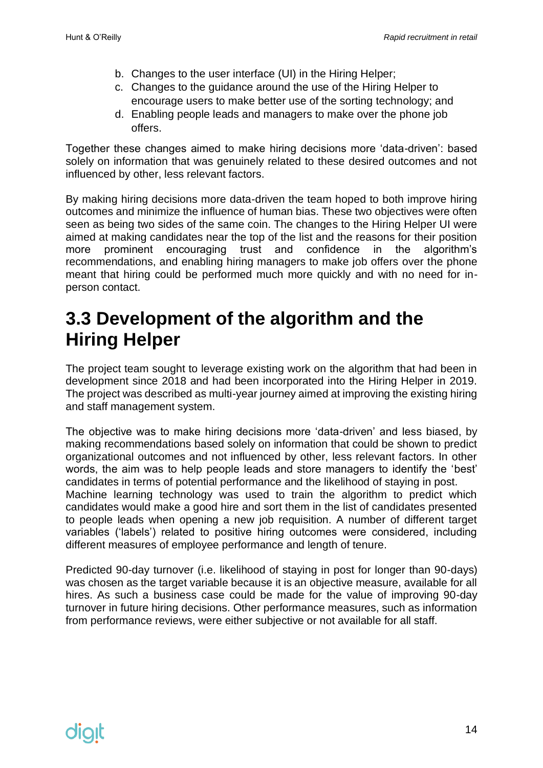- b. Changes to the user interface (UI) in the Hiring Helper;
- c. Changes to the guidance around the use of the Hiring Helper to encourage users to make better use of the sorting technology; and
- d. Enabling people leads and managers to make over the phone job offers.

Together these changes aimed to make hiring decisions more 'data-driven': based solely on information that was genuinely related to these desired outcomes and not influenced by other, less relevant factors.

By making hiring decisions more data-driven the team hoped to both improve hiring outcomes and minimize the influence of human bias. These two objectives were often seen as being two sides of the same coin. The changes to the Hiring Helper UI were aimed at making candidates near the top of the list and the reasons for their position more prominent encouraging trust and confidence in the algorithm's recommendations, and enabling hiring managers to make job offers over the phone meant that hiring could be performed much more quickly and with no need for inperson contact.

### <span id="page-13-0"></span>**3.3 Development of the algorithm and the Hiring Helper**

The project team sought to leverage existing work on the algorithm that had been in development since 2018 and had been incorporated into the Hiring Helper in 2019. The project was described as multi-year journey aimed at improving the existing hiring and staff management system.

The objective was to make hiring decisions more 'data-driven' and less biased, by making recommendations based solely on information that could be shown to predict organizational outcomes and not influenced by other, less relevant factors. In other words, the aim was to help people leads and store managers to identify the 'best' candidates in terms of potential performance and the likelihood of staying in post. Machine learning technology was used to train the algorithm to predict which candidates would make a good hire and sort them in the list of candidates presented to people leads when opening a new job requisition. A number of different target variables ('labels') related to positive hiring outcomes were considered, including different measures of employee performance and length of tenure.

Predicted 90-day turnover (i.e. likelihood of staying in post for longer than 90-days) was chosen as the target variable because it is an objective measure, available for all hires. As such a business case could be made for the value of improving 90-day turnover in future hiring decisions. Other performance measures, such as information from performance reviews, were either subjective or not available for all staff.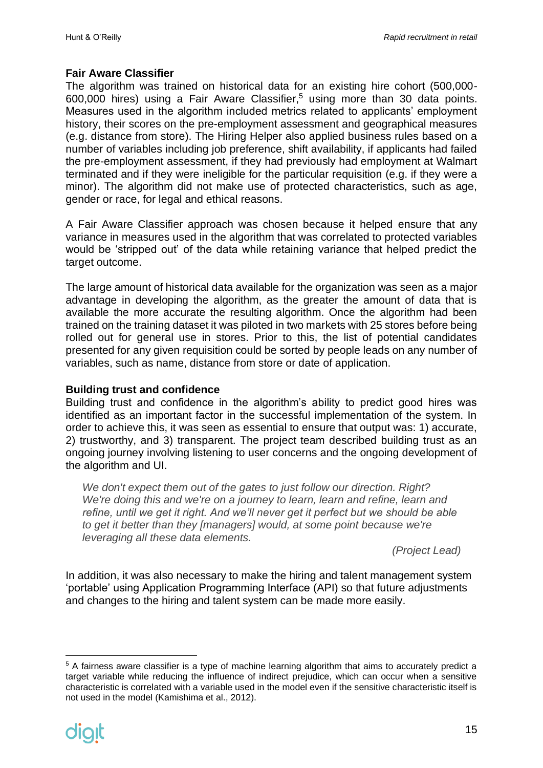#### <span id="page-14-0"></span>**Fair Aware Classifier**

The algorithm was trained on historical data for an existing hire cohort (500,000-  $600,000$  hires) using a Fair Aware Classifier,<sup>5</sup> using more than 30 data points. Measures used in the algorithm included metrics related to applicants' employment history, their scores on the pre-employment assessment and geographical measures (e.g. distance from store). The Hiring Helper also applied business rules based on a number of variables including job preference, shift availability, if applicants had failed the pre-employment assessment, if they had previously had employment at Walmart terminated and if they were ineligible for the particular requisition (e.g. if they were a minor). The algorithm did not make use of protected characteristics, such as age, gender or race, for legal and ethical reasons.

A Fair Aware Classifier approach was chosen because it helped ensure that any variance in measures used in the algorithm that was correlated to protected variables would be 'stripped out' of the data while retaining variance that helped predict the target outcome.

The large amount of historical data available for the organization was seen as a major advantage in developing the algorithm, as the greater the amount of data that is available the more accurate the resulting algorithm. Once the algorithm had been trained on the training dataset it was piloted in two markets with 25 stores before being rolled out for general use in stores. Prior to this, the list of potential candidates presented for any given requisition could be sorted by people leads on any number of variables, such as name, distance from store or date of application.

#### <span id="page-14-1"></span>**Building trust and confidence**

Building trust and confidence in the algorithm's ability to predict good hires was identified as an important factor in the successful implementation of the system. In order to achieve this, it was seen as essential to ensure that output was: 1) accurate, 2) trustworthy, and 3) transparent. The project team described building trust as an ongoing journey involving listening to user concerns and the ongoing development of the algorithm and UI.

*We don't expect them out of the gates to just follow our direction. Right? We're doing this and we're on a journey to learn, learn and refine, learn and refine, until we get it right. And we'll never get it perfect but we should be able*  to get it better than they [managers] would, at some point because we're *leveraging all these data elements.* 

*(Project Lead)*

In addition, it was also necessary to make the hiring and talent management system 'portable' using Application Programming Interface (API) so that future adjustments and changes to the hiring and talent system can be made more easily.

<sup>5</sup> A fairness aware classifier is a type of machine learning algorithm that aims to accurately predict a target variable while reducing the influence of indirect prejudice, which can occur when a sensitive characteristic is correlated with a variable used in the model even if the sensitive characteristic itself is not used in the model (Kamishima et al., 2012).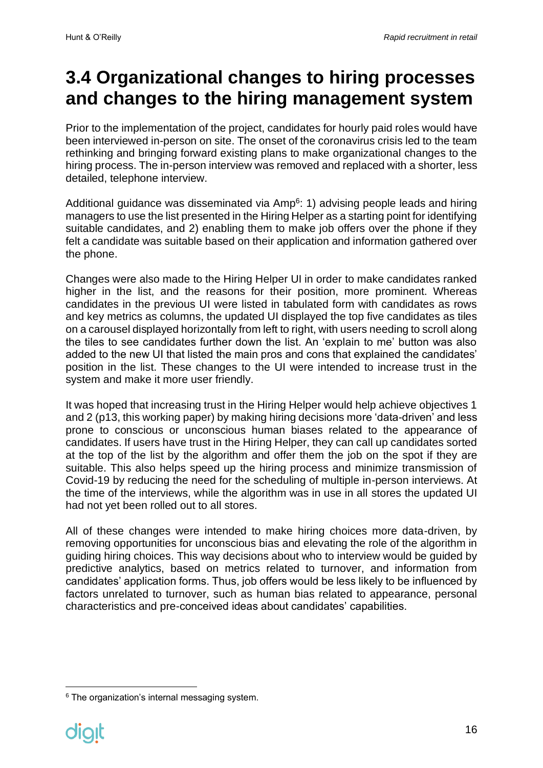### <span id="page-15-0"></span>**3.4 Organizational changes to hiring processes and changes to the hiring management system**

Prior to the implementation of the project, candidates for hourly paid roles would have been interviewed in-person on site. The onset of the coronavirus crisis led to the team rethinking and bringing forward existing plans to make organizational changes to the hiring process. The in-person interview was removed and replaced with a shorter, less detailed, telephone interview.

Additional guidance was disseminated via Amp<sup>6</sup>: 1) advising people leads and hiring managers to use the list presented in the Hiring Helper as a starting point for identifying suitable candidates, and 2) enabling them to make job offers over the phone if they felt a candidate was suitable based on their application and information gathered over the phone.

Changes were also made to the Hiring Helper UI in order to make candidates ranked higher in the list, and the reasons for their position, more prominent. Whereas candidates in the previous UI were listed in tabulated form with candidates as rows and key metrics as columns, the updated UI displayed the top five candidates as tiles on a carousel displayed horizontally from left to right, with users needing to scroll along the tiles to see candidates further down the list. An 'explain to me' button was also added to the new UI that listed the main pros and cons that explained the candidates' position in the list. These changes to the UI were intended to increase trust in the system and make it more user friendly.

It was hoped that increasing trust in the Hiring Helper would help achieve objectives 1 and 2 (p13, this working paper) by making hiring decisions more 'data-driven' and less prone to conscious or unconscious human biases related to the appearance of candidates. If users have trust in the Hiring Helper, they can call up candidates sorted at the top of the list by the algorithm and offer them the job on the spot if they are suitable. This also helps speed up the hiring process and minimize transmission of Covid-19 by reducing the need for the scheduling of multiple in-person interviews. At the time of the interviews, while the algorithm was in use in all stores the updated UI had not yet been rolled out to all stores.

All of these changes were intended to make hiring choices more data-driven, by removing opportunities for unconscious bias and elevating the role of the algorithm in guiding hiring choices. This way decisions about who to interview would be guided by predictive analytics, based on metrics related to turnover, and information from candidates' application forms. Thus, job offers would be less likely to be influenced by factors unrelated to turnover, such as human bias related to appearance, personal characteristics and pre-conceived ideas about candidates' capabilities.

<sup>&</sup>lt;sup>6</sup> The organization's internal messaging system.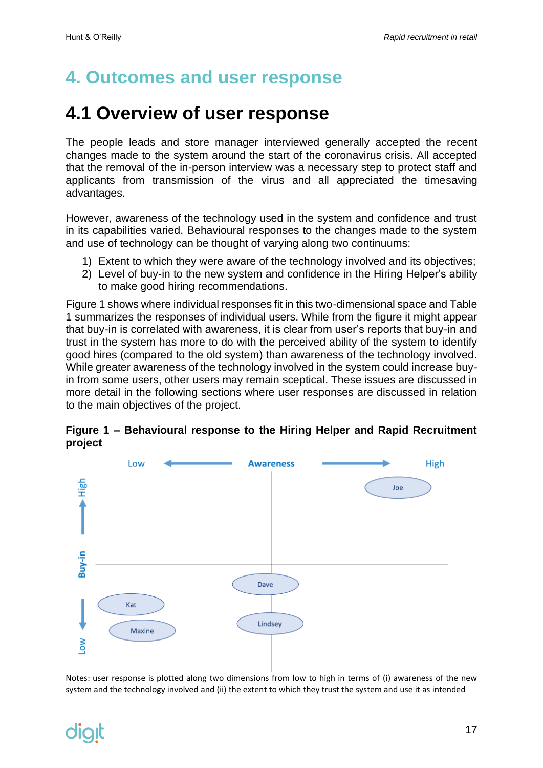# <span id="page-16-0"></span>**4. Outcomes and user response**

### <span id="page-16-1"></span>**4.1 Overview of user response**

The people leads and store manager interviewed generally accepted the recent changes made to the system around the start of the coronavirus crisis. All accepted that the removal of the in-person interview was a necessary step to protect staff and applicants from transmission of the virus and all appreciated the timesaving advantages.

However, awareness of the technology used in the system and confidence and trust in its capabilities varied. Behavioural responses to the changes made to the system and use of technology can be thought of varying along two continuums:

- 1) Extent to which they were aware of the technology involved and its objectives;
- 2) Level of buy-in to the new system and confidence in the Hiring Helper's ability to make good hiring recommendations.

Figure 1 shows where individual responses fit in this two-dimensional space and Table 1 summarizes the responses of individual users. While from the figure it might appear that buy-in is correlated with awareness, it is clear from user's reports that buy-in and trust in the system has more to do with the perceived ability of the system to identify good hires (compared to the old system) than awareness of the technology involved. While greater awareness of the technology involved in the system could increase buyin from some users, other users may remain sceptical. These issues are discussed in more detail in the following sections where user responses are discussed in relation to the main objectives of the project.



#### **Figure 1 – Behavioural response to the Hiring Helper and Rapid Recruitment project**

Notes: user response is plotted along two dimensions from low to high in terms of (i) awareness of the new system and the technology involved and (ii) the extent to which they trust the system and use it as intended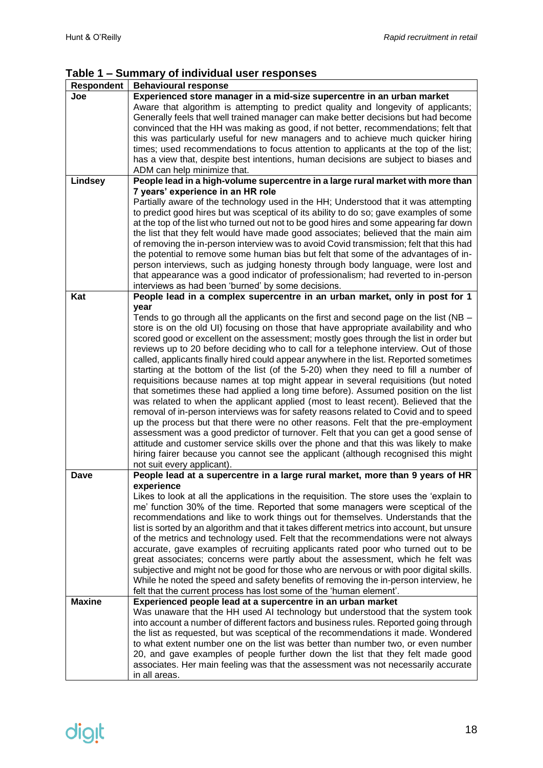#### **Table 1 – Summary of individual user responses**

| Respondent    | <b>Behavioural response</b>                                                                 |
|---------------|---------------------------------------------------------------------------------------------|
| Joe           | Experienced store manager in a mid-size supercentre in an urban market                      |
|               | Aware that algorithm is attempting to predict quality and longevity of applicants;          |
|               | Generally feels that well trained manager can make better decisions but had become          |
|               | convinced that the HH was making as good, if not better, recommendations; felt that         |
|               | this was particularly useful for new managers and to achieve much quicker hiring            |
|               | times; used recommendations to focus attention to applicants at the top of the list;        |
|               | has a view that, despite best intentions, human decisions are subject to biases and         |
|               | ADM can help minimize that.                                                                 |
| Lindsey       | People lead in a high-volume supercentre in a large rural market with more than             |
|               | 7 years' experience in an HR role                                                           |
|               | Partially aware of the technology used in the HH; Understood that it was attempting         |
|               | to predict good hires but was sceptical of its ability to do so; gave examples of some      |
|               | at the top of the list who turned out not to be good hires and some appearing far down      |
|               | the list that they felt would have made good associates; believed that the main aim         |
|               | of removing the in-person interview was to avoid Covid transmission; felt that this had     |
|               | the potential to remove some human bias but felt that some of the advantages of in-         |
|               | person interviews, such as judging honesty through body language, were lost and             |
|               | that appearance was a good indicator of professionalism; had reverted to in-person          |
|               | interviews as had been 'burned' by some decisions.                                          |
| Kat           | People lead in a complex supercentre in an urban market, only in post for 1                 |
|               | year                                                                                        |
|               | Tends to go through all the applicants on the first and second page on the list ( $NB -$    |
|               | store is on the old UI) focusing on those that have appropriate availability and who        |
|               | scored good or excellent on the assessment; mostly goes through the list in order but       |
|               | reviews up to 20 before deciding who to call for a telephone interview. Out of those        |
|               | called, applicants finally hired could appear anywhere in the list. Reported sometimes      |
|               | starting at the bottom of the list (of the 5-20) when they need to fill a number of         |
|               | requisitions because names at top might appear in several requisitions (but noted           |
|               | that sometimes these had applied a long time before). Assumed position on the list          |
|               | was related to when the applicant applied (most to least recent). Believed that the         |
|               | removal of in-person interviews was for safety reasons related to Covid and to speed        |
|               | up the process but that there were no other reasons. Felt that the pre-employment           |
|               | assessment was a good predictor of turnover. Felt that you can get a good sense of          |
|               | attitude and customer service skills over the phone and that this was likely to make        |
|               | hiring fairer because you cannot see the applicant (although recognised this might          |
|               | not suit every applicant).                                                                  |
| Dave          | People lead at a supercentre in a large rural market, more than 9 years of HR               |
|               | experience                                                                                  |
|               | Likes to look at all the applications in the requisition. The store uses the 'explain to    |
|               | me' function 30% of the time. Reported that some managers were sceptical of the             |
|               | recommendations and like to work things out for themselves. Understands that the            |
|               | list is sorted by an algorithm and that it takes different metrics into account, but unsure |
|               | of the metrics and technology used. Felt that the recommendations were not always           |
|               | accurate, gave examples of recruiting applicants rated poor who turned out to be            |
|               | great associates; concerns were partly about the assessment, which he felt was              |
|               | subjective and might not be good for those who are nervous or with poor digital skills.     |
|               | While he noted the speed and safety benefits of removing the in-person interview, he        |
|               | felt that the current process has lost some of the 'human element'.                         |
| <b>Maxine</b> | Experienced people lead at a supercentre in an urban market                                 |
|               | Was unaware that the HH used AI technology but understood that the system took              |
|               | into account a number of different factors and business rules. Reported going through       |
|               | the list as requested, but was sceptical of the recommendations it made. Wondered           |
|               | to what extent number one on the list was better than number two, or even number            |
|               | 20, and gave examples of people further down the list that they felt made good              |
|               | associates. Her main feeling was that the assessment was not necessarily accurate           |
|               | in all areas.                                                                               |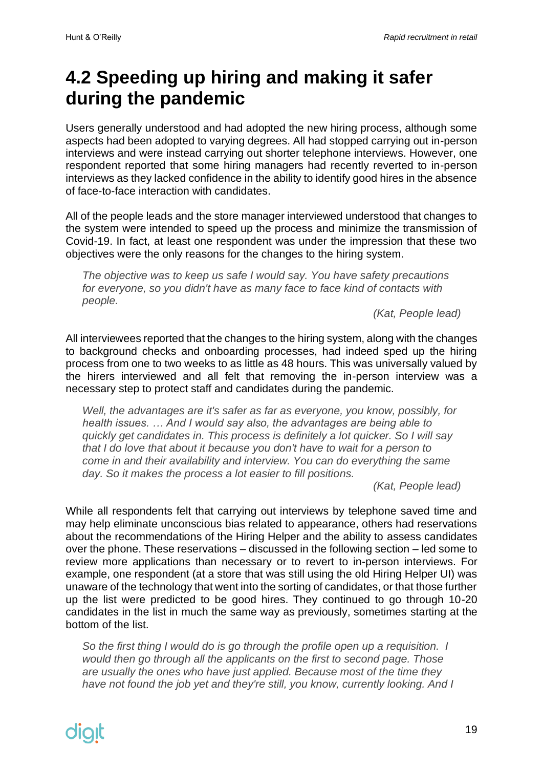# <span id="page-18-0"></span>**4.2 Speeding up hiring and making it safer during the pandemic**

Users generally understood and had adopted the new hiring process, although some aspects had been adopted to varying degrees. All had stopped carrying out in-person interviews and were instead carrying out shorter telephone interviews. However, one respondent reported that some hiring managers had recently reverted to in-person interviews as they lacked confidence in the ability to identify good hires in the absence of face-to-face interaction with candidates.

All of the people leads and the store manager interviewed understood that changes to the system were intended to speed up the process and minimize the transmission of Covid-19. In fact, at least one respondent was under the impression that these two objectives were the only reasons for the changes to the hiring system.

*The objective was to keep us safe I would say. You have safety precautions for everyone, so you didn't have as many face to face kind of contacts with people.*

*(Kat, People lead)*

All interviewees reported that the changes to the hiring system, along with the changes to background checks and onboarding processes, had indeed sped up the hiring process from one to two weeks to as little as 48 hours. This was universally valued by the hirers interviewed and all felt that removing the in-person interview was a necessary step to protect staff and candidates during the pandemic.

*Well, the advantages are it's safer as far as everyone, you know, possibly, for health issues. … And I would say also, the advantages are being able to quickly get candidates in. This process is definitely a lot quicker. So I will say that I do love that about it because you don't have to wait for a person to come in and their availability and interview. You can do everything the same day. So it makes the process a lot easier to fill positions.*

*(Kat, People lead)*

While all respondents felt that carrying out interviews by telephone saved time and may help eliminate unconscious bias related to appearance, others had reservations about the recommendations of the Hiring Helper and the ability to assess candidates over the phone. These reservations – discussed in the following section – led some to review more applications than necessary or to revert to in-person interviews. For example, one respondent (at a store that was still using the old Hiring Helper UI) was unaware of the technology that went into the sorting of candidates, or that those further up the list were predicted to be good hires. They continued to go through 10-20 candidates in the list in much the same way as previously, sometimes starting at the bottom of the list.

*So the first thing I would do is go through the profile open up a requisition. I would then go through all the applicants on the first to second page. Those are usually the ones who have just applied. Because most of the time they have not found the job yet and they're still, you know, currently looking. And I*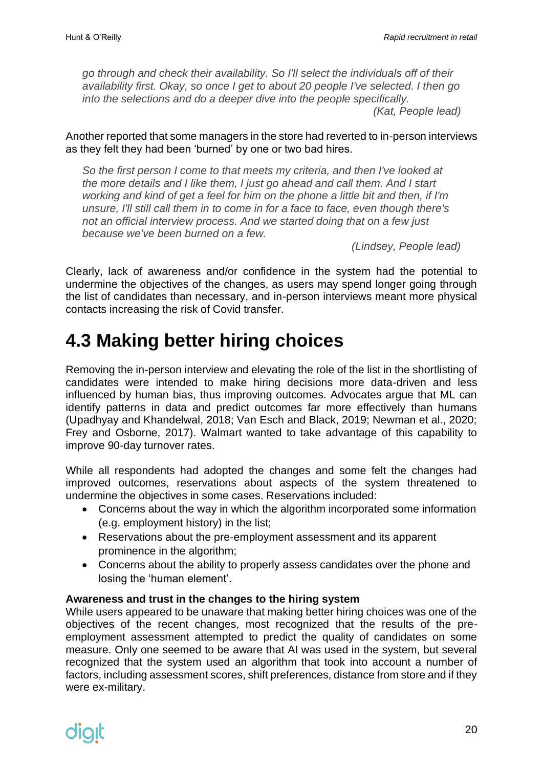*go through and check their availability. So I'll select the individuals off of their availability first. Okay, so once I get to about 20 people I've selected. I then go into the selections and do a deeper dive into the people specifically. (Kat, People lead)*

Another reported that some managers in the store had reverted to in-person interviews as they felt they had been 'burned' by one or two bad hires.

*So the first person I come to that meets my criteria, and then I've looked at the more details and I like them, I just go ahead and call them. And I start working and kind of get a feel for him on the phone a little bit and then, if I'm unsure, I'll still call them in to come in for a face to face, even though there's not an official interview process. And we started doing that on a few just because we've been burned on a few.*

*(Lindsey, People lead)* 

Clearly, lack of awareness and/or confidence in the system had the potential to undermine the objectives of the changes, as users may spend longer going through the list of candidates than necessary, and in-person interviews meant more physical contacts increasing the risk of Covid transfer.

### <span id="page-19-0"></span>**4.3 Making better hiring choices**

Removing the in-person interview and elevating the role of the list in the shortlisting of candidates were intended to make hiring decisions more data-driven and less influenced by human bias, thus improving outcomes. Advocates argue that ML can identify patterns in data and predict outcomes far more effectively than humans (Upadhyay and Khandelwal, 2018; Van Esch and Black, 2019; Newman et al., 2020; Frey and Osborne, 2017). Walmart wanted to take advantage of this capability to improve 90-day turnover rates.

While all respondents had adopted the changes and some felt the changes had improved outcomes, reservations about aspects of the system threatened to undermine the objectives in some cases. Reservations included:

- Concerns about the way in which the algorithm incorporated some information (e.g. employment history) in the list;
- Reservations about the pre-employment assessment and its apparent prominence in the algorithm;
- Concerns about the ability to properly assess candidates over the phone and losing the 'human element'.

#### <span id="page-19-1"></span>**Awareness and trust in the changes to the hiring system**

While users appeared to be unaware that making better hiring choices was one of the objectives of the recent changes, most recognized that the results of the preemployment assessment attempted to predict the quality of candidates on some measure. Only one seemed to be aware that AI was used in the system, but several recognized that the system used an algorithm that took into account a number of factors, including assessment scores, shift preferences, distance from store and if they were ex-military.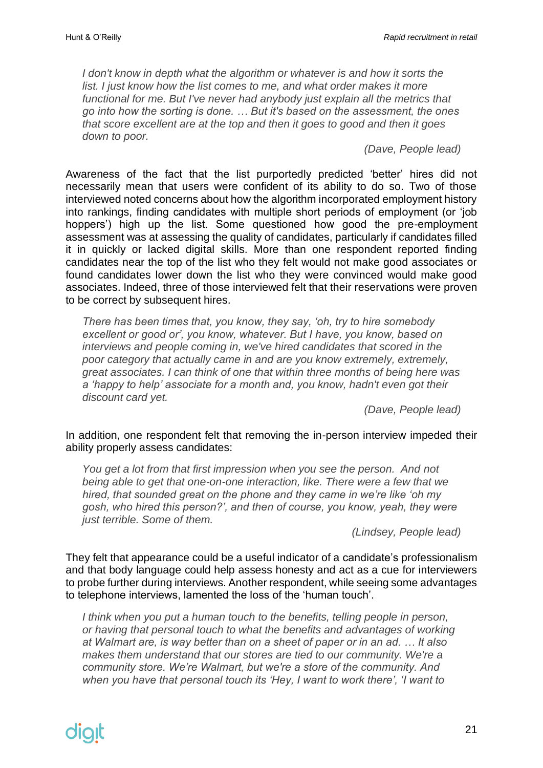*I don't know in depth what the algorithm or whatever is and how it sorts the list. I just know how the list comes to me, and what order makes it more functional for me. But I've never had anybody just explain all the metrics that go into how the sorting is done. … But it's based on the assessment, the ones that score excellent are at the top and then it goes to good and then it goes down to poor.*

*(Dave, People lead)*

Awareness of the fact that the list purportedly predicted 'better' hires did not necessarily mean that users were confident of its ability to do so. Two of those interviewed noted concerns about how the algorithm incorporated employment history into rankings, finding candidates with multiple short periods of employment (or 'job hoppers') high up the list. Some questioned how good the pre-employment assessment was at assessing the quality of candidates, particularly if candidates filled it in quickly or lacked digital skills. More than one respondent reported finding candidates near the top of the list who they felt would not make good associates or found candidates lower down the list who they were convinced would make good associates. Indeed, three of those interviewed felt that their reservations were proven to be correct by subsequent hires.

*There has been times that, you know, they say, 'oh, try to hire somebody excellent or good or', you know, whatever. But I have, you know, based on interviews and people coming in, we've hired candidates that scored in the poor category that actually came in and are you know extremely, extremely, great associates. I can think of one that within three months of being here was a 'happy to help' associate for a month and, you know, hadn't even got their discount card yet.*

*(Dave, People lead)*

In addition, one respondent felt that removing the in-person interview impeded their ability properly assess candidates:

*You get a lot from that first impression when you see the person. And not being able to get that one-on-one interaction, like. There were a few that we hired, that sounded great on the phone and they came in we're like 'oh my gosh, who hired this person?', and then of course, you know, yeah, they were just terrible. Some of them.*

*(Lindsey, People lead)*

They felt that appearance could be a useful indicator of a candidate's professionalism and that body language could help assess honesty and act as a cue for interviewers to probe further during interviews. Another respondent, while seeing some advantages to telephone interviews, lamented the loss of the 'human touch'.

I think when you put a human touch to the benefits, telling people in person, *or having that personal touch to what the benefits and advantages of working at Walmart are, is way better than on a sheet of paper or in an ad. … It also makes them understand that our stores are tied to our community. We're a community store. We're Walmart, but we're a store of the community. And when you have that personal touch its 'Hey, I want to work there', 'I want to*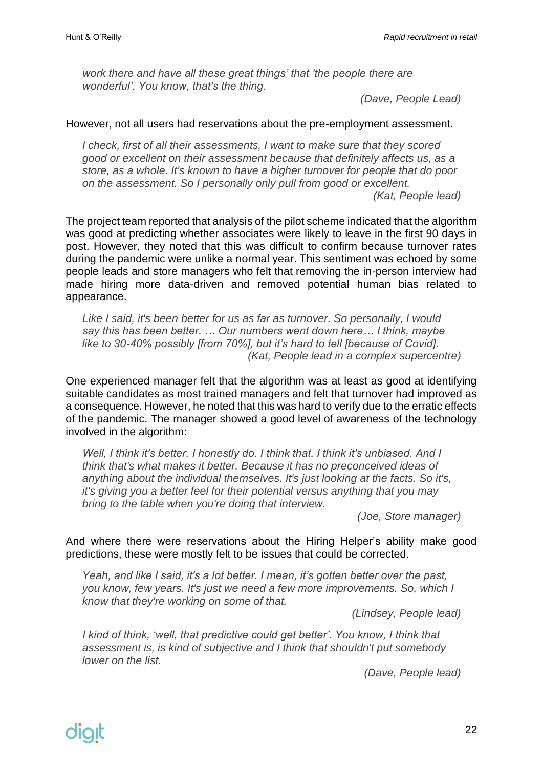*work there and have all these great things' that 'the people there are wonderful'. You know, that's the thing.*

*(Dave, People Lead)*

#### However, not all users had reservations about the pre-employment assessment.

*I check, first of all their assessments, I want to make sure that they scored good or excellent on their assessment because that definitely affects us, as a store, as a whole. It's known to have a higher turnover for people that do poor on the assessment. So I personally only pull from good or excellent.*

*(Kat, People lead)*

The project team reported that analysis of the pilot scheme indicated that the algorithm was good at predicting whether associates were likely to leave in the first 90 days in post. However, they noted that this was difficult to confirm because turnover rates during the pandemic were unlike a normal year. This sentiment was echoed by some people leads and store managers who felt that removing the in-person interview had made hiring more data-driven and removed potential human bias related to appearance.

*Like I said, it's been better for us as far as turnover. So personally, I would say this has been better. … Our numbers went down here… I think, maybe like to 30-40% possibly [from 70%], but it's hard to tell [because of Covid]. (Kat, People lead in a complex supercentre)*

One experienced manager felt that the algorithm was at least as good at identifying suitable candidates as most trained managers and felt that turnover had improved as a consequence. However, he noted that this was hard to verify due to the erratic effects of the pandemic. The manager showed a good level of awareness of the technology involved in the algorithm:

Well, I think it's better. I honestly do. I think that. I think it's unbiased. And I *think that's what makes it better. Because it has no preconceived ideas of anything about the individual themselves. It's just looking at the facts. So it's, it's giving you a better feel for their potential versus anything that you may bring to the table when you're doing that interview.*

*(Joe, Store manager)*

And where there were reservations about the Hiring Helper's ability make good predictions, these were mostly felt to be issues that could be corrected.

*Yeah, and like I said, it's a lot better. I mean, it's gotten better over the past, you know, few years. It's just we need a few more improvements. So, which I know that they're working on some of that.*

*(Lindsey, People lead)*

*I kind of think, 'well, that predictive could get better'. You know, I think that assessment is, is kind of subjective and I think that shouldn't put somebody lower on the list.*

*(Dave, People lead)*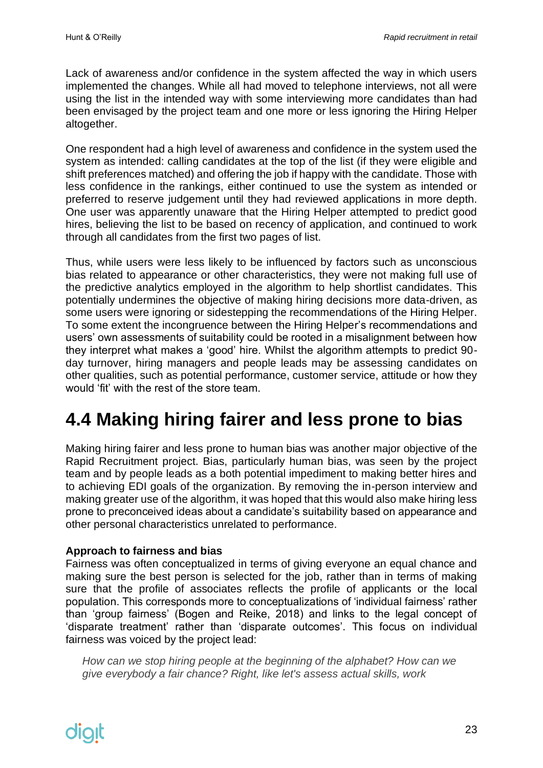Lack of awareness and/or confidence in the system affected the way in which users implemented the changes. While all had moved to telephone interviews, not all were using the list in the intended way with some interviewing more candidates than had been envisaged by the project team and one more or less ignoring the Hiring Helper altogether.

One respondent had a high level of awareness and confidence in the system used the system as intended: calling candidates at the top of the list (if they were eligible and shift preferences matched) and offering the job if happy with the candidate. Those with less confidence in the rankings, either continued to use the system as intended or preferred to reserve judgement until they had reviewed applications in more depth. One user was apparently unaware that the Hiring Helper attempted to predict good hires, believing the list to be based on recency of application, and continued to work through all candidates from the first two pages of list.

Thus, while users were less likely to be influenced by factors such as unconscious bias related to appearance or other characteristics, they were not making full use of the predictive analytics employed in the algorithm to help shortlist candidates. This potentially undermines the objective of making hiring decisions more data-driven, as some users were ignoring or sidestepping the recommendations of the Hiring Helper. To some extent the incongruence between the Hiring Helper's recommendations and users' own assessments of suitability could be rooted in a misalignment between how they interpret what makes a 'good' hire. Whilst the algorithm attempts to predict 90 day turnover, hiring managers and people leads may be assessing candidates on other qualities, such as potential performance, customer service, attitude or how they would 'fit' with the rest of the store team.

# <span id="page-22-0"></span>**4.4 Making hiring fairer and less prone to bias**

Making hiring fairer and less prone to human bias was another major objective of the Rapid Recruitment project. Bias, particularly human bias, was seen by the project team and by people leads as a both potential impediment to making better hires and to achieving EDI goals of the organization. By removing the in-person interview and making greater use of the algorithm, it was hoped that this would also make hiring less prone to preconceived ideas about a candidate's suitability based on appearance and other personal characteristics unrelated to performance.

#### <span id="page-22-1"></span>**Approach to fairness and bias**

Fairness was often conceptualized in terms of giving everyone an equal chance and making sure the best person is selected for the job, rather than in terms of making sure that the profile of associates reflects the profile of applicants or the local population. This corresponds more to conceptualizations of 'individual fairness' rather than 'group fairness' (Bogen and Reike, 2018) and links to the legal concept of 'disparate treatment' rather than 'disparate outcomes'. This focus on individual fairness was voiced by the project lead:

*How can we stop hiring people at the beginning of the alphabet? How can we give everybody a fair chance? Right, like let's assess actual skills, work*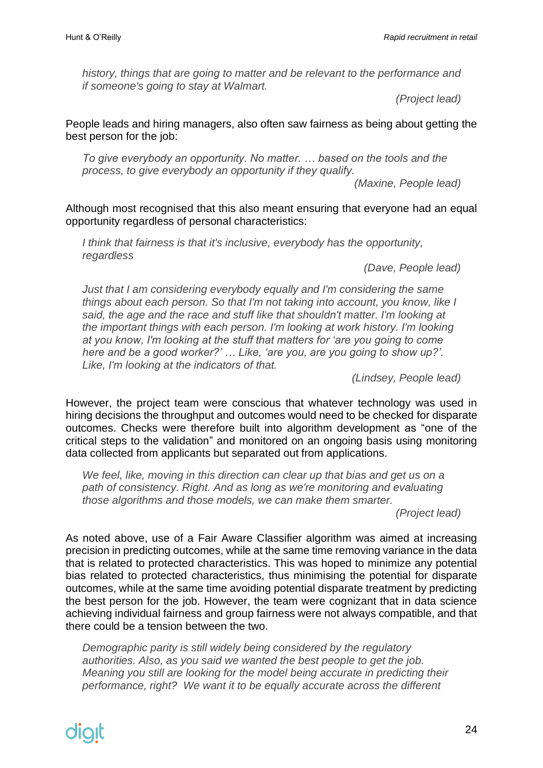*history, things that are going to matter and be relevant to the performance and if someone's going to stay at Walmart.*

*(Project lead)*

People leads and hiring managers, also often saw fairness as being about getting the best person for the job:

*To give everybody an opportunity. No matter. … based on the tools and the process, to give everybody an opportunity if they qualify.*

*(Maxine, People lead)*

Although most recognised that this also meant ensuring that everyone had an equal opportunity regardless of personal characteristics:

*I think that fairness is that it's inclusive, everybody has the opportunity, regardless* 

*(Dave, People lead)* 

*Just that I am considering everybody equally and I'm considering the same things about each person. So that I'm not taking into account, you know, like I said, the age and the race and stuff like that shouldn't matter. I'm looking at the important things with each person. I'm looking at work history. I'm looking at you know, I'm looking at the stuff that matters for 'are you going to come here and be a good worker?' … Like, 'are you, are you going to show up?'. Like, I'm looking at the indicators of that.*

*(Lindsey, People lead)*

However, the project team were conscious that whatever technology was used in hiring decisions the throughput and outcomes would need to be checked for disparate outcomes. Checks were therefore built into algorithm development as "one of the critical steps to the validation" and monitored on an ongoing basis using monitoring data collected from applicants but separated out from applications.

We feel, like, moving in this direction can clear up that bias and get us on a *path of consistency. Right. And as long as we're monitoring and evaluating those algorithms and those models, we can make them smarter.*

*(Project lead)*

As noted above, use of a Fair Aware Classifier algorithm was aimed at increasing precision in predicting outcomes, while at the same time removing variance in the data that is related to protected characteristics. This was hoped to minimize any potential bias related to protected characteristics, thus minimising the potential for disparate outcomes, while at the same time avoiding potential disparate treatment by predicting the best person for the job. However, the team were cognizant that in data science achieving individual fairness and group fairness were not always compatible, and that there could be a tension between the two.

*Demographic parity is still widely being considered by the regulatory authorities. Also, as you said we wanted the best people to get the job. Meaning you still are looking for the model being accurate in predicting their performance, right? We want it to be equally accurate across the different*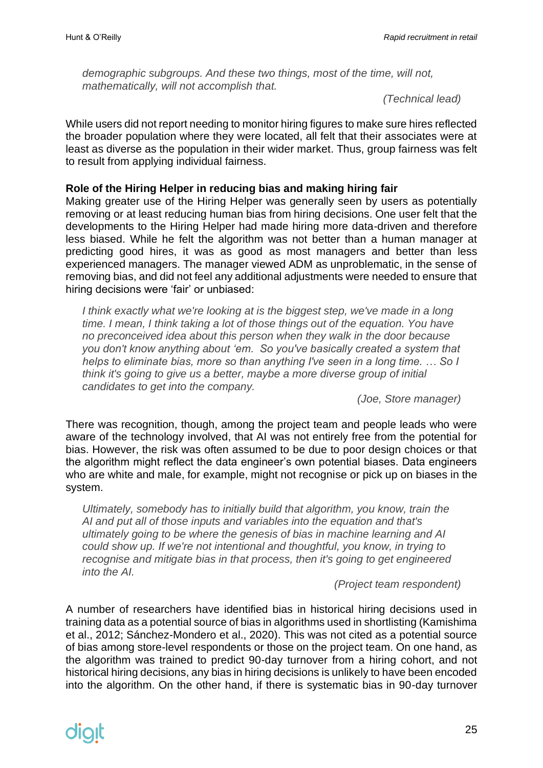*demographic subgroups. And these two things, most of the time, will not, mathematically, will not accomplish that.* 

*(Technical lead)*

While users did not report needing to monitor hiring figures to make sure hires reflected the broader population where they were located, all felt that their associates were at least as diverse as the population in their wider market. Thus, group fairness was felt to result from applying individual fairness.

#### <span id="page-24-0"></span>**Role of the Hiring Helper in reducing bias and making hiring fair**

Making greater use of the Hiring Helper was generally seen by users as potentially removing or at least reducing human bias from hiring decisions. One user felt that the developments to the Hiring Helper had made hiring more data-driven and therefore less biased. While he felt the algorithm was not better than a human manager at predicting good hires, it was as good as most managers and better than less experienced managers. The manager viewed ADM as unproblematic, in the sense of removing bias, and did not feel any additional adjustments were needed to ensure that hiring decisions were 'fair' or unbiased:

*I think exactly what we're looking at is the biggest step, we've made in a long time. I mean, I think taking a lot of those things out of the equation. You have no preconceived idea about this person when they walk in the door because you don't know anything about 'em. So you've basically created a system that helps to eliminate bias, more so than anything I've seen in a long time. … So I think it's going to give us a better, maybe a more diverse group of initial candidates to get into the company.* 

*(Joe, Store manager)*

There was recognition, though, among the project team and people leads who were aware of the technology involved, that AI was not entirely free from the potential for bias. However, the risk was often assumed to be due to poor design choices or that the algorithm might reflect the data engineer's own potential biases. Data engineers who are white and male, for example, might not recognise or pick up on biases in the system.

*Ultimately, somebody has to initially build that algorithm, you know, train the AI and put all of those inputs and variables into the equation and that's ultimately going to be where the genesis of bias in machine learning and AI could show up. If we're not intentional and thoughtful, you know, in trying to recognise and mitigate bias in that process, then it's going to get engineered into the AI.*

*(Project team respondent)*

A number of researchers have identified bias in historical hiring decisions used in training data as a potential source of bias in algorithms used in shortlisting (Kamishima et al., 2012; Sánchez-Mondero et al., 2020). This was not cited as a potential source of bias among store-level respondents or those on the project team. On one hand, as the algorithm was trained to predict 90-day turnover from a hiring cohort, and not historical hiring decisions, any bias in hiring decisions is unlikely to have been encoded into the algorithm. On the other hand, if there is systematic bias in 90-day turnover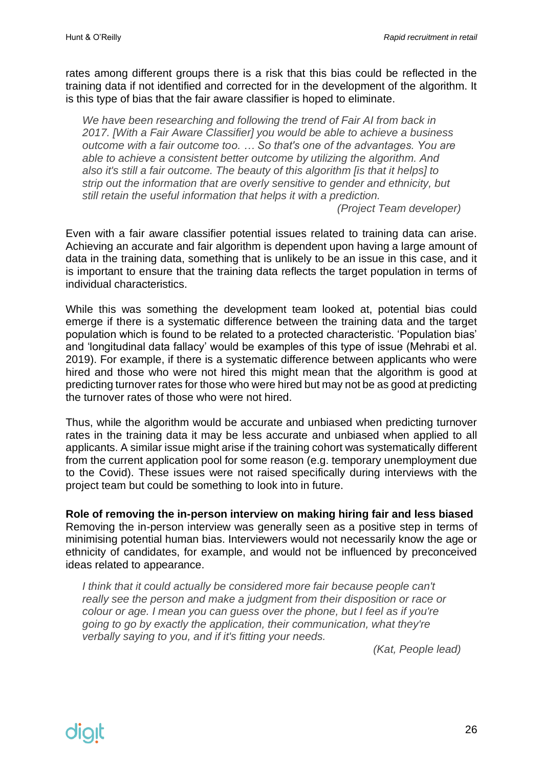rates among different groups there is a risk that this bias could be reflected in the training data if not identified and corrected for in the development of the algorithm. It is this type of bias that the fair aware classifier is hoped to eliminate.

*We have been researching and following the trend of Fair AI from back in 2017. [With a Fair Aware Classifier] you would be able to achieve a business outcome with a fair outcome too. … So that's one of the advantages. You are able to achieve a consistent better outcome by utilizing the algorithm. And also it's still a fair outcome. The beauty of this algorithm [is that it helps] to strip out the information that are overly sensitive to gender and ethnicity, but still retain the useful information that helps it with a prediction.*

*(Project Team developer)*

Even with a fair aware classifier potential issues related to training data can arise. Achieving an accurate and fair algorithm is dependent upon having a large amount of data in the training data, something that is unlikely to be an issue in this case, and it is important to ensure that the training data reflects the target population in terms of individual characteristics.

While this was something the development team looked at, potential bias could emerge if there is a systematic difference between the training data and the target population which is found to be related to a protected characteristic. 'Population bias' and 'longitudinal data fallacy' would be examples of this type of issue (Mehrabi et al. 2019). For example, if there is a systematic difference between applicants who were hired and those who were not hired this might mean that the algorithm is good at predicting turnover rates for those who were hired but may not be as good at predicting the turnover rates of those who were not hired.

Thus, while the algorithm would be accurate and unbiased when predicting turnover rates in the training data it may be less accurate and unbiased when applied to all applicants. A similar issue might arise if the training cohort was systematically different from the current application pool for some reason (e.g. temporary unemployment due to the Covid). These issues were not raised specifically during interviews with the project team but could be something to look into in future.

#### <span id="page-25-0"></span>**Role of removing the in-person interview on making hiring fair and less biased**

Removing the in-person interview was generally seen as a positive step in terms of minimising potential human bias. Interviewers would not necessarily know the age or ethnicity of candidates, for example, and would not be influenced by preconceived ideas related to appearance.

I think that it could actually be considered more fair because people can't *really see the person and make a judgment from their disposition or race or colour or age. I mean you can guess over the phone, but I feel as if you're going to go by exactly the application, their communication, what they're verbally saying to you, and if it's fitting your needs.*

*(Kat, People lead)*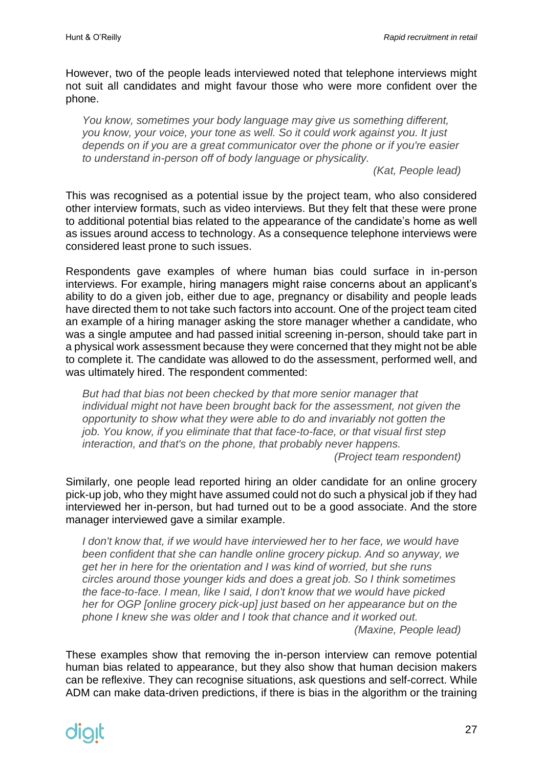However, two of the people leads interviewed noted that telephone interviews might not suit all candidates and might favour those who were more confident over the phone.

*You know, sometimes your body language may give us something different, you know, your voice, your tone as well. So it could work against you. It just depends on if you are a great communicator over the phone or if you're easier to understand in-person off of body language or physicality.*

*(Kat, People lead)*

This was recognised as a potential issue by the project team, who also considered other interview formats, such as video interviews. But they felt that these were prone to additional potential bias related to the appearance of the candidate's home as well as issues around access to technology. As a consequence telephone interviews were considered least prone to such issues.

Respondents gave examples of where human bias could surface in in-person interviews. For example, hiring managers might raise concerns about an applicant's ability to do a given job, either due to age, pregnancy or disability and people leads have directed them to not take such factors into account. One of the project team cited an example of a hiring manager asking the store manager whether a candidate, who was a single amputee and had passed initial screening in-person, should take part in a physical work assessment because they were concerned that they might not be able to complete it. The candidate was allowed to do the assessment, performed well, and was ultimately hired. The respondent commented:

*But had that bias not been checked by that more senior manager that individual might not have been brought back for the assessment, not given the opportunity to show what they were able to do and invariably not gotten the job. You know, if you eliminate that that face-to-face, or that visual first step interaction, and that's on the phone, that probably never happens. (Project team respondent)*

Similarly, one people lead reported hiring an older candidate for an online grocery pick-up job, who they might have assumed could not do such a physical job if they had interviewed her in-person, but had turned out to be a good associate. And the store manager interviewed gave a similar example.

I don't know that, if we would have interviewed her to her face, we would have *been confident that she can handle online grocery pickup. And so anyway, we get her in here for the orientation and I was kind of worried, but she runs circles around those younger kids and does a great job. So I think sometimes the face-to-face. I mean, like I said, I don't know that we would have picked her for OGP [online grocery pick-up] just based on her appearance but on the phone I knew she was older and I took that chance and it worked out. (Maxine, People lead)*

These examples show that removing the in-person interview can remove potential human bias related to appearance, but they also show that human decision makers can be reflexive. They can recognise situations, ask questions and self-correct. While ADM can make data-driven predictions, if there is bias in the algorithm or the training

# dialt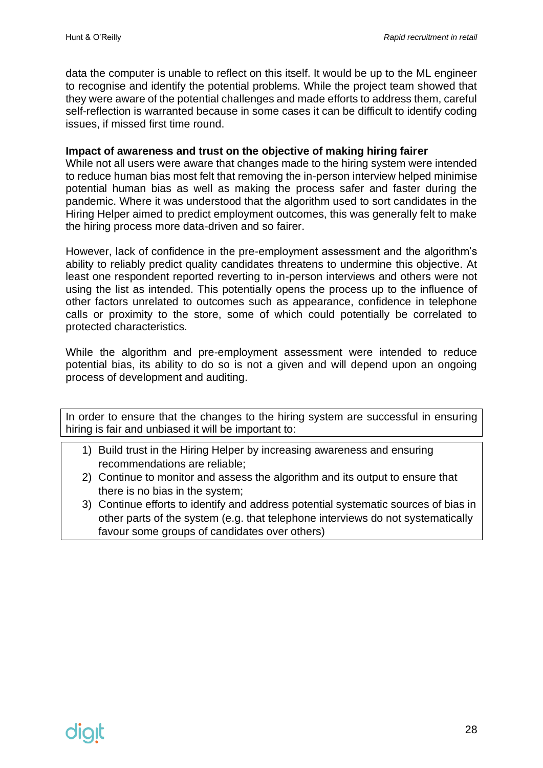data the computer is unable to reflect on this itself. It would be up to the ML engineer to recognise and identify the potential problems. While the project team showed that they were aware of the potential challenges and made efforts to address them, careful self-reflection is warranted because in some cases it can be difficult to identify coding issues, if missed first time round.

#### <span id="page-27-0"></span>**Impact of awareness and trust on the objective of making hiring fairer**

While not all users were aware that changes made to the hiring system were intended to reduce human bias most felt that removing the in-person interview helped minimise potential human bias as well as making the process safer and faster during the pandemic. Where it was understood that the algorithm used to sort candidates in the Hiring Helper aimed to predict employment outcomes, this was generally felt to make the hiring process more data-driven and so fairer.

However, lack of confidence in the pre-employment assessment and the algorithm's ability to reliably predict quality candidates threatens to undermine this objective. At least one respondent reported reverting to in-person interviews and others were not using the list as intended. This potentially opens the process up to the influence of other factors unrelated to outcomes such as appearance, confidence in telephone calls or proximity to the store, some of which could potentially be correlated to protected characteristics.

While the algorithm and pre-employment assessment were intended to reduce potential bias, its ability to do so is not a given and will depend upon an ongoing process of development and auditing.

In order to ensure that the changes to the hiring system are successful in ensuring hiring is fair and unbiased it will be important to:

- 1) Build trust in the Hiring Helper by increasing awareness and ensuring recommendations are reliable;
- 2) Continue to monitor and assess the algorithm and its output to ensure that there is no bias in the system;
- 3) Continue efforts to identify and address potential systematic sources of bias in other parts of the system (e.g. that telephone interviews do not systematically favour some groups of candidates over others)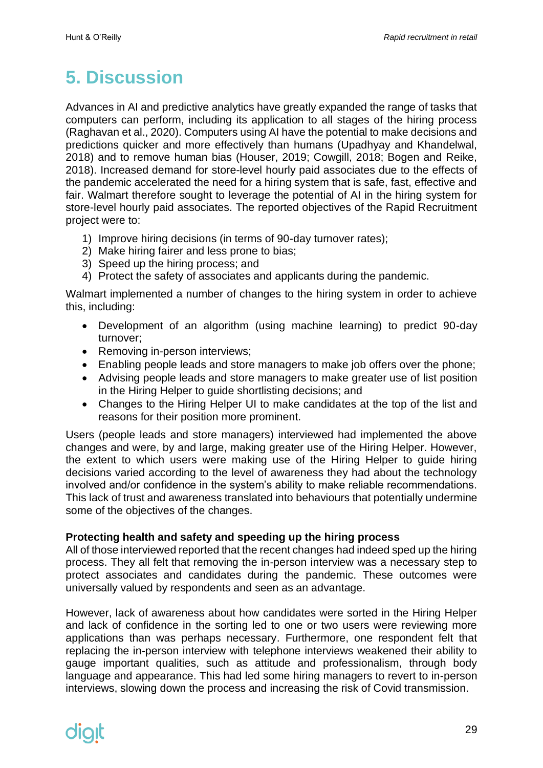# <span id="page-28-0"></span>**5. Discussion**

Advances in AI and predictive analytics have greatly expanded the range of tasks that computers can perform, including its application to all stages of the hiring process (Raghavan et al., 2020). Computers using AI have the potential to make decisions and predictions quicker and more effectively than humans (Upadhyay and Khandelwal, 2018) and to remove human bias (Houser, 2019; Cowgill, 2018; Bogen and Reike, 2018). Increased demand for store-level hourly paid associates due to the effects of the pandemic accelerated the need for a hiring system that is safe, fast, effective and fair. Walmart therefore sought to leverage the potential of AI in the hiring system for store-level hourly paid associates. The reported objectives of the Rapid Recruitment project were to:

- 1) Improve hiring decisions (in terms of 90-day turnover rates);
- 2) Make hiring fairer and less prone to bias;
- 3) Speed up the hiring process; and
- 4) Protect the safety of associates and applicants during the pandemic.

Walmart implemented a number of changes to the hiring system in order to achieve this, including:

- Development of an algorithm (using machine learning) to predict 90-day turnover;
- Removing in-person interviews;
- Enabling people leads and store managers to make job offers over the phone;
- Advising people leads and store managers to make greater use of list position in the Hiring Helper to guide shortlisting decisions; and
- Changes to the Hiring Helper UI to make candidates at the top of the list and reasons for their position more prominent.

Users (people leads and store managers) interviewed had implemented the above changes and were, by and large, making greater use of the Hiring Helper. However, the extent to which users were making use of the Hiring Helper to guide hiring decisions varied according to the level of awareness they had about the technology involved and/or confidence in the system's ability to make reliable recommendations. This lack of trust and awareness translated into behaviours that potentially undermine some of the objectives of the changes.

#### <span id="page-28-1"></span>**Protecting health and safety and speeding up the hiring process**

All of those interviewed reported that the recent changes had indeed sped up the hiring process. They all felt that removing the in-person interview was a necessary step to protect associates and candidates during the pandemic. These outcomes were universally valued by respondents and seen as an advantage.

However, lack of awareness about how candidates were sorted in the Hiring Helper and lack of confidence in the sorting led to one or two users were reviewing more applications than was perhaps necessary. Furthermore, one respondent felt that replacing the in-person interview with telephone interviews weakened their ability to gauge important qualities, such as attitude and professionalism, through body language and appearance. This had led some hiring managers to revert to in-person interviews, slowing down the process and increasing the risk of Covid transmission.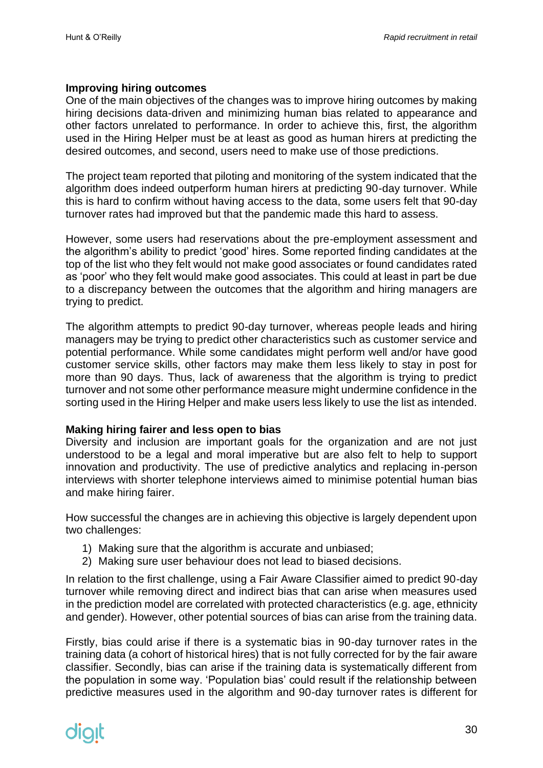#### <span id="page-29-0"></span>**Improving hiring outcomes**

One of the main objectives of the changes was to improve hiring outcomes by making hiring decisions data-driven and minimizing human bias related to appearance and other factors unrelated to performance. In order to achieve this, first, the algorithm used in the Hiring Helper must be at least as good as human hirers at predicting the desired outcomes, and second, users need to make use of those predictions.

The project team reported that piloting and monitoring of the system indicated that the algorithm does indeed outperform human hirers at predicting 90-day turnover. While this is hard to confirm without having access to the data, some users felt that 90-day turnover rates had improved but that the pandemic made this hard to assess.

However, some users had reservations about the pre-employment assessment and the algorithm's ability to predict 'good' hires. Some reported finding candidates at the top of the list who they felt would not make good associates or found candidates rated as 'poor' who they felt would make good associates. This could at least in part be due to a discrepancy between the outcomes that the algorithm and hiring managers are trying to predict.

The algorithm attempts to predict 90-day turnover, whereas people leads and hiring managers may be trying to predict other characteristics such as customer service and potential performance. While some candidates might perform well and/or have good customer service skills, other factors may make them less likely to stay in post for more than 90 days. Thus, lack of awareness that the algorithm is trying to predict turnover and not some other performance measure might undermine confidence in the sorting used in the Hiring Helper and make users less likely to use the list as intended.

#### <span id="page-29-1"></span>**Making hiring fairer and less open to bias**

Diversity and inclusion are important goals for the organization and are not just understood to be a legal and moral imperative but are also felt to help to support innovation and productivity. The use of predictive analytics and replacing in-person interviews with shorter telephone interviews aimed to minimise potential human bias and make hiring fairer.

How successful the changes are in achieving this objective is largely dependent upon two challenges:

- 1) Making sure that the algorithm is accurate and unbiased;
- 2) Making sure user behaviour does not lead to biased decisions.

In relation to the first challenge, using a Fair Aware Classifier aimed to predict 90-day turnover while removing direct and indirect bias that can arise when measures used in the prediction model are correlated with protected characteristics (e.g. age, ethnicity and gender). However, other potential sources of bias can arise from the training data.

Firstly, bias could arise if there is a systematic bias in 90-day turnover rates in the training data (a cohort of historical hires) that is not fully corrected for by the fair aware classifier. Secondly, bias can arise if the training data is systematically different from the population in some way. 'Population bias' could result if the relationship between predictive measures used in the algorithm and 90-day turnover rates is different for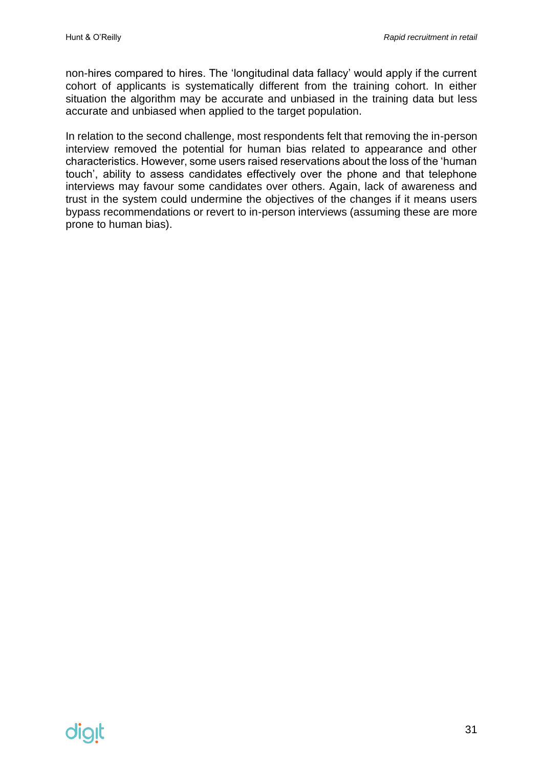non-hires compared to hires. The 'longitudinal data fallacy' would apply if the current cohort of applicants is systematically different from the training cohort. In either situation the algorithm may be accurate and unbiased in the training data but less accurate and unbiased when applied to the target population.

In relation to the second challenge, most respondents felt that removing the in-person interview removed the potential for human bias related to appearance and other characteristics. However, some users raised reservations about the loss of the 'human touch', ability to assess candidates effectively over the phone and that telephone interviews may favour some candidates over others. Again, lack of awareness and trust in the system could undermine the objectives of the changes if it means users bypass recommendations or revert to in-person interviews (assuming these are more prone to human bias).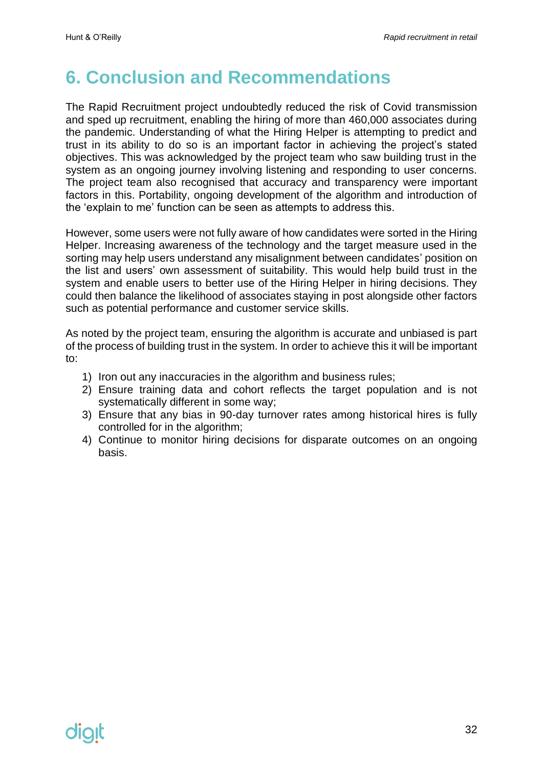### <span id="page-31-0"></span>**6. Conclusion and Recommendations**

The Rapid Recruitment project undoubtedly reduced the risk of Covid transmission and sped up recruitment, enabling the hiring of more than 460,000 associates during the pandemic. Understanding of what the Hiring Helper is attempting to predict and trust in its ability to do so is an important factor in achieving the project's stated objectives. This was acknowledged by the project team who saw building trust in the system as an ongoing journey involving listening and responding to user concerns. The project team also recognised that accuracy and transparency were important factors in this. Portability, ongoing development of the algorithm and introduction of the 'explain to me' function can be seen as attempts to address this.

However, some users were not fully aware of how candidates were sorted in the Hiring Helper. Increasing awareness of the technology and the target measure used in the sorting may help users understand any misalignment between candidates' position on the list and users' own assessment of suitability. This would help build trust in the system and enable users to better use of the Hiring Helper in hiring decisions. They could then balance the likelihood of associates staying in post alongside other factors such as potential performance and customer service skills.

As noted by the project team, ensuring the algorithm is accurate and unbiased is part of the process of building trust in the system. In order to achieve this it will be important to:

- 1) Iron out any inaccuracies in the algorithm and business rules;
- 2) Ensure training data and cohort reflects the target population and is not systematically different in some way;
- 3) Ensure that any bias in 90-day turnover rates among historical hires is fully controlled for in the algorithm;
- 4) Continue to monitor hiring decisions for disparate outcomes on an ongoing basis.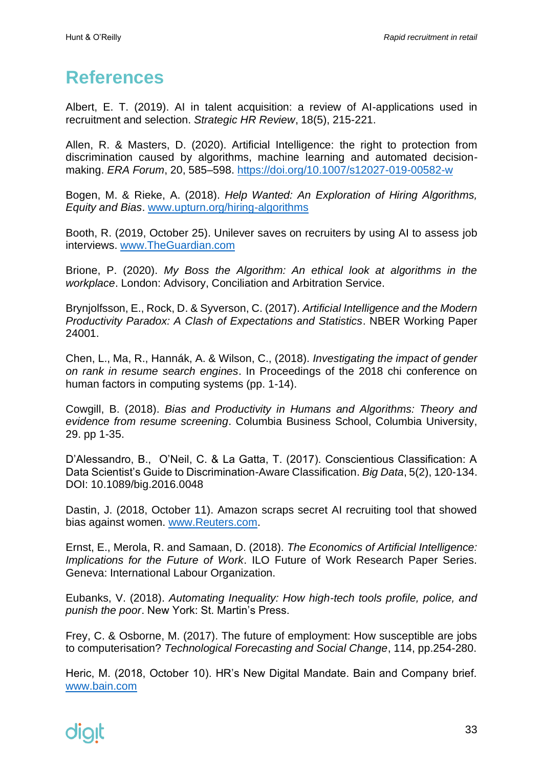### <span id="page-32-0"></span>**References**

Albert, E. T. (2019). AI in talent acquisition: a review of AI-applications used in recruitment and selection. *Strategic HR Review*, 18(5), 215-221.

Allen, R. & Masters, D. (2020). Artificial Intelligence: the right to protection from discrimination caused by algorithms, machine learning and automated decisionmaking. *ERA Forum*, 20, 585–598.<https://doi.org/10.1007/s12027-019-00582-w>

Bogen, M. & Rieke, A. (2018). *Help Wanted: An Exploration of Hiring Algorithms, Equity and Bias*. [www.upturn.org/hiring-algorithms](http://www.upturn.org/hiring-algorithms)

Booth, R. (2019, October 25). Unilever saves on recruiters by using AI to assess job interviews. [www.TheGuardian.com](http://www.theguardian.com/)

Brione, P. (2020). *My Boss the Algorithm: An ethical look at algorithms in the workplace*. London: Advisory, Conciliation and Arbitration Service.

Brynjolfsson, E., Rock, D. & Syverson, C. (2017). *Artificial Intelligence and the Modern Productivity Paradox: A Clash of Expectations and Statistics*. NBER Working Paper 24001.

Chen, L., Ma, R., Hannák, A. & Wilson, C., (2018). *Investigating the impact of gender on rank in resume search engines*. In Proceedings of the 2018 chi conference on human factors in computing systems (pp. 1-14).

Cowgill, B. (2018). *Bias and Productivity in Humans and Algorithms: Theory and evidence from resume screening*. Columbia Business School, Columbia University, 29. pp 1-35.

D'Alessandro, B., O'Neil, C. & La Gatta, T. (2017). Conscientious Classification: A Data Scientist's Guide to Discrimination-Aware Classification. *Big Data*, 5(2), 120-134. DOI: 10.1089/big.2016.0048

Dastin, J. (2018, October 11). Amazon scraps secret AI recruiting tool that showed bias against women. [www.Reuters.com.](http://www.reuters.com/)

Ernst, E., Merola, R. and Samaan, D. (2018). *The Economics of Artificial Intelligence: Implications for the Future of Work*. ILO Future of Work Research Paper Series. Geneva: International Labour Organization.

Eubanks, V. (2018). *Automating Inequality: How high-tech tools profile, police, and punish the poor*. New York: St. Martin's Press.

Frey, C. & Osborne, M. (2017). The future of employment: How susceptible are jobs to computerisation? *Technological Forecasting and Social Change*, 114, pp.254-280.

Heric, M. (2018, October 10). HR's New Digital Mandate. Bain and Company brief. [www.bain.com](http://www.bain.com/)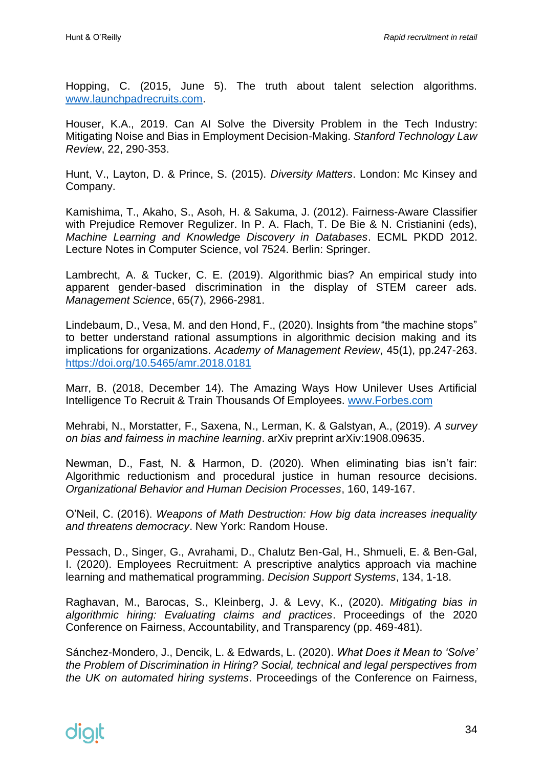Hopping, C. (2015, June 5). The truth about talent selection algorithms. [www.launchpadrecruits.com.](http://www.launchpadrecruits.com/)

Houser, K.A., 2019. Can AI Solve the Diversity Problem in the Tech Industry: Mitigating Noise and Bias in Employment Decision-Making. *Stanford Technology Law Review*, 22, 290-353.

Hunt, V., Layton, D. & Prince, S. (2015). *Diversity Matters*. London: Mc Kinsey and Company.

Kamishima, T., Akaho, S., Asoh, H. & Sakuma, J. (2012). Fairness-Aware Classifier with Prejudice Remover Regulizer. In P. A. Flach, T. De Bie & N. Cristianini (eds), *Machine Learning and Knowledge Discovery in Databases*. ECML PKDD 2012. Lecture Notes in Computer Science, vol 7524. Berlin: Springer.

Lambrecht, A. & Tucker, C. E. (2019). Algorithmic bias? An empirical study into apparent gender-based discrimination in the display of STEM career ads. *Management Science*, 65(7), 2966-2981.

Lindebaum, D., Vesa, M. and den Hond, F., (2020). Insights from "the machine stops" to better understand rational assumptions in algorithmic decision making and its implications for organizations. *Academy of Management Review*, 45(1), pp.247-263. <https://doi.org/10.5465/amr.2018.0181>

Marr, B. (2018, December 14). The Amazing Ways How Unilever Uses Artificial Intelligence To Recruit & Train Thousands Of Employees. [www.Forbes.com](http://www.forbes.com/)

Mehrabi, N., Morstatter, F., Saxena, N., Lerman, K. & Galstyan, A., (2019). *A survey on bias and fairness in machine learning*. arXiv preprint arXiv:1908.09635.

Newman, D., Fast, N. & Harmon, D. (2020). When eliminating bias isn't fair: Algorithmic reductionism and procedural justice in human resource decisions. *Organizational Behavior and Human Decision Processes*, 160, 149-167.

O'Neil, C. (2016). *Weapons of Math Destruction: How big data increases inequality and threatens democracy*. New York: Random House.

Pessach, D., Singer, G., Avrahami, D., Chalutz Ben-Gal, H., Shmueli, E. & Ben-Gal, I. (2020). Employees Recruitment: A prescriptive analytics approach via machine learning and mathematical programming. *Decision Support Systems*, 134, 1-18.

Raghavan, M., Barocas, S., Kleinberg, J. & Levy, K., (2020). *Mitigating bias in algorithmic hiring: Evaluating claims and practices*. Proceedings of the 2020 Conference on Fairness, Accountability, and Transparency (pp. 469-481).

Sánchez-Mondero, J., Dencik, L. & Edwards, L. (2020). *What Does it Mean to 'Solve' the Problem of Discrimination in Hiring? Social, technical and legal perspectives from the UK on automated hiring systems*. Proceedings of the Conference on Fairness,